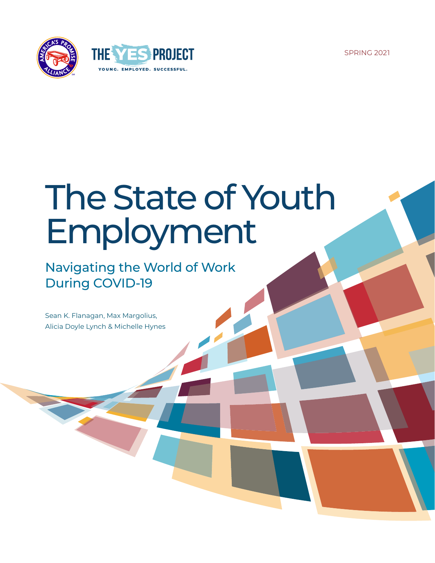SPRING 2021





# The State of Youth Employment

Navigating the World of Work During COVID-19

Sean K. Flanagan, Max Margolius, Alicia Doyle Lynch & Michelle Hynes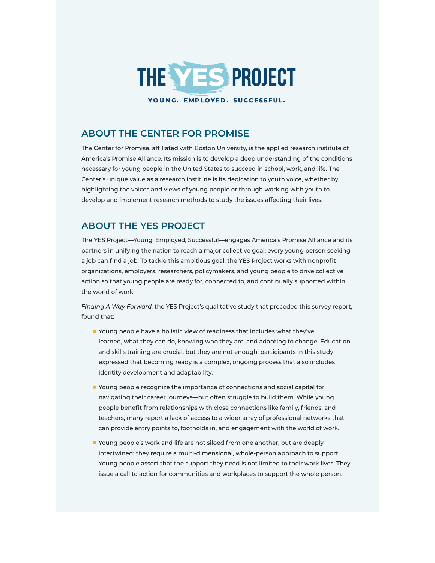

# **ABOUT THE CENTER FOR PROMISE**

The Center for Promise, affiliated with Boston University, is the applied research institute of America's Promise Alliance. Its mission is to develop a deep understanding of the conditions necessary for young people in the United States to succeed in school, work, and life. The Center's unique value as a research institute is its dedication to youth voice, whether by highlighting the voices and views of young people or through working with youth to develop and implement research methods to study the issues affecting their lives.

# **ABOUT THE YES PROJECT**

The YES Project—Young, Employed, Successful—engages America's Promise Alliance and its partners in unifying the nation to reach a major collective goal: every young person seeking a job can find a job. To tackle this ambitious goal, the YES Project works with nonprofit organizations, employers, researchers, policymakers, and young people to drive collective action so that young people are ready for, connected to, and continually supported within the world of work.

*Finding A Way Forward,* the YES Project's qualitative study that preceded this survey report, found that:

- Young people have a holistic view of readiness that includes what they've learned, what they can do, knowing who they are, and adapting to change. Education and skills training are crucial, but they are not enough; participants in this study expressed that becoming ready is a complex, ongoing process that also includes identity development and adaptability.
- Young people recognize the importance of connections and social capital for navigating their career journeys—but often struggle to build them. While young people benefit from relationships with close connections like family, friends, and teachers, many report a lack of access to a wider array of professional networks that can provide entry points to, footholds in, and engagement with the world of work.
- Young people's work and life are not siloed from one another, but are deeply intertwined; they require a multi-dimensional, whole-person approach to support. Young people assert that the support they need is not limited to their work lives. They issue a call to action for communities and workplaces to support the whole person.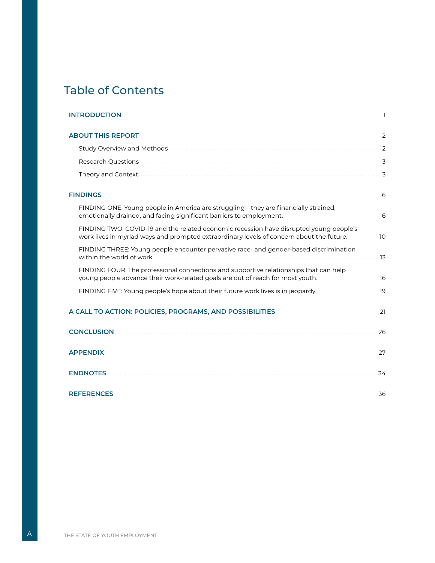# **Table of Contents**

| <b>INTRODUCTION</b>                                                                                                                                                                | $\mathbf{I}$ |
|------------------------------------------------------------------------------------------------------------------------------------------------------------------------------------|--------------|
| <b>ABOUT THIS REPORT</b>                                                                                                                                                           | <sup>2</sup> |
| Study Overview and Methods                                                                                                                                                         | -2           |
| <b>Research Questions</b>                                                                                                                                                          | 3            |
| Theory and Context                                                                                                                                                                 | 3            |
| <b>FINDINGS</b>                                                                                                                                                                    | -6           |
| FINDING ONE: Young people in America are struggling—they are financially strained,<br>emotionally drained, and facing significant barriers to employment.                          | -6           |
| FINDING TWO: COVID-19 and the related economic recession have disrupted young people's<br>work lives in myriad ways and prompted extraordinary levels of concern about the future. | 10           |
| FINDING THREE: Young people encounter pervasive race- and gender-based discrimination<br>within the world of work.                                                                 | 13           |
| FINDING FOUR: The professional connections and supportive relationships that can help<br>young people advance their work-related goals are out of reach for most youth.            | -16          |
| FINDING FIVE: Young people's hope about their future work lives is in jeopardy.                                                                                                    | -19          |
| A CALL TO ACTION: POLICIES, PROGRAMS, AND POSSIBILITIES                                                                                                                            | 21           |
| <b>CONCLUSION</b>                                                                                                                                                                  | 26           |
| <b>APPENDIX</b>                                                                                                                                                                    | 27           |
| <b>ENDNOTES</b>                                                                                                                                                                    | 34           |
| <b>REFERENCES</b>                                                                                                                                                                  | 36           |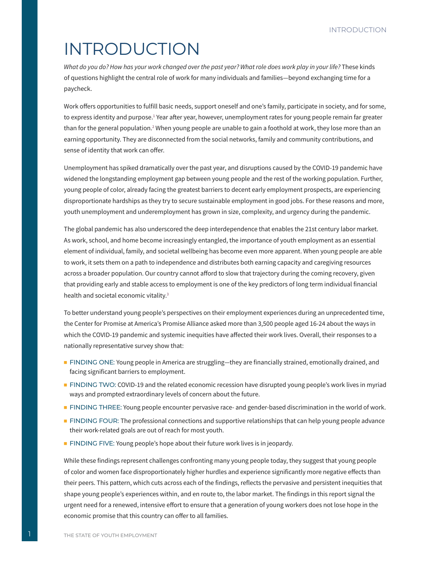# <span id="page-3-0"></span>INTRODUCTION

What do you do? How has your work changed over the past year? What role does work play in your life? These kinds of questions highlight the central role of work for many individuals and families—beyond exchanging time for a paycheck.

Work offers opportunities to fulfill basic needs, support oneself and one's family, participate in society, and for some, to express identity and purpose.<sup>1</sup> Year after year, however, unemployment rates for young people remain far greater than for the general population.<sup>2</sup> When young people are unable to gain a foothold at work, they lose more than an earning opportunity. They are disconnected from the social networks, family and community contributions, and sense of identity that work can offer.

Unemployment has spiked dramatically over the past year, and disruptions caused by the COVID-19 pandemic have widened the longstanding employment gap between young people and the rest of the working population. Further, young people of color, already facing the greatest barriers to decent early employment prospects, are experiencing disproportionate hardships as they try to secure sustainable employment in good jobs. For these reasons and more, youth unemployment and underemployment has grown in size, complexity, and urgency during the pandemic.

The global pandemic has also underscored the deep interdependence that enables the 21st century labor market. As work, school, and home become increasingly entangled, the importance of youth employment as an essential element of individual, family, and societal wellbeing has become even more apparent. When young people are able to work, it sets them on a path to independence and distributes both earning capacity and caregiving resources across a broader population. Our country cannot afford to slow that trajectory during the coming recovery, given that providing early and stable access to employment is one of the key predictors of long term individual financial health and societal economic vitality.<sup>3</sup>

To better understand young people's perspectives on their employment experiences during an unprecedented time, the Center for Promise at America's Promise Alliance asked more than 3,500 people aged 16-24 about the ways in which the COVID-19 pandemic and systemic inequities have affected their work lives. Overall, their responses to a nationally representative survey show that:

- FINDING ONE: Young people in America are struggling—they are financially strained, emotionally drained, and facing significant barriers to employment.
- FINDING TWO: COVID-19 and the related economic recession have disrupted young people's work lives in myriad ways and prompted extraordinary levels of concern about the future.
- FINDING THREE: Young people encounter pervasive race- and gender-based discrimination in the world of work.
- FINDING FOUR: The professional connections and supportive relationships that can help young people advance their work-related goals are out of reach for most youth.
- FINDING FIVE: Young people's hope about their future work lives is in jeopardy.

While these findings represent challenges confronting many young people today, they suggest that young people of color and women face disproportionately higher hurdles and experience significantly more negative effects than their peers. This pattern, which cuts across each of the findings, reflects the pervasive and persistent inequities that shape young people's experiences within, and en route to, the labor market. The findings in this report signal the urgent need for a renewed, intensive effort to ensure that a generation of young workers does not lose hope in the economic promise that this country can offer to all families.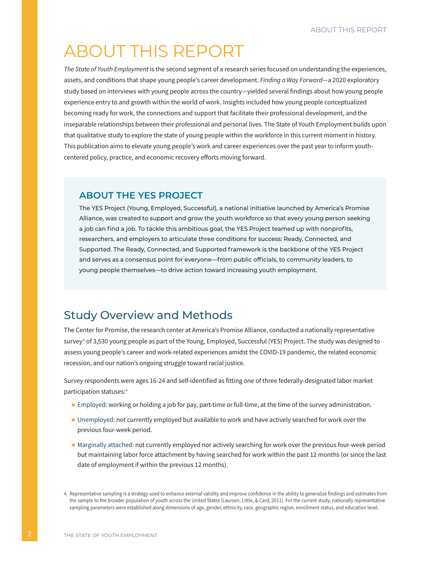# <span id="page-4-0"></span>ABOUT THIS REPORT

*The State of Youth Employment* is the second segment of a research series focused on understanding the experiences, assets, and conditions that shape young people's career development.*[Finding a Way Forward](https://www.americaspromise.org/finding-way-forward-young-peoples-experiences-navigating-world-work)*—a 2020 exploratory study based on interviews with young people across the country—yielded several findings about how young people experience entry to and growth within the world of work. Insights included how young people conceptualized becoming ready for work, the connections and support that facilitate their professional development, and the inseparable relationships between their professional and personal lives. The State of Youth Employment builds upon that qualitative study to explore the state of young people within the workforce in this current moment in history. This publication aims to elevate young people's work and career experiences over the past year to inform youthcentered policy, practice, and economic recovery efforts moving forward.

# **ABOUT THE YES PROJECT**

The YES Project (Young, Employed, Successful), a national initiative launched by America's Promise Alliance, was created to support and grow the youth workforce so that every young person seeking a job can find a job. To tackle this ambitious goal, the YES Project teamed up with nonprofits, researchers, and employers to articulate three conditions for success: Ready, Connected, and Supported. The Ready, Connected, and Supported framework is the backbone of the YES Project and serves as a consensus point for everyone—from public officials, to community leaders, to young people themselves—to drive action toward increasing youth employment.

# Study Overview and Methods

The Center for Promise, the research center at America's Promise Alliance, conducted a nationally representative survey<sup>A</sup> of 3,530 young people as part of the Young, Employed, Successful (YES) Project. The study was designed to assess young people's career and work-related experiences amidst the COVID-19 pandemic, the related economic recession, and our nation's ongoing struggle toward racial justice.

Survey respondents were ages 16-24 and self-identified as fitting one of three federally-designated labor market participation statuses:4

- Employed: working or holding a job for pay, part-time or full-time, at the time of the survey administration.
- Unemployed: not currently employed but available to work and have actively searched for work over the previous four-week period.
- Marginally attached: not currently employed nor actively searching for work over the previous four-week period but maintaining labor force attachment by having searched for work within the past 12 months (or since the last date of employment if within the previous 12 months).

A Representative sampling is a strategy used to enhance external validity and improve confidence in the ability to generalize findings and estimates from the sample to the broader population of youth across the United States (Laursen, Little, & Card, 2011). For the current study, nationally representative sampling parameters were established along dimensions of age, gender, ethnicity, race, geographic region, enrollment status, and education level.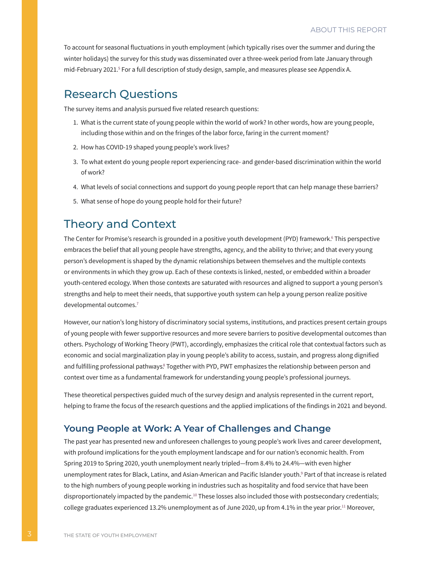<span id="page-5-0"></span>To account for seasonal fluctuations in youth employment (which typically rises over the summer and during the winter holidays) the survey for this study was disseminated over a three-week period from late January through mid-February 2021.<sup>5</sup> For a full description of study design, sample, and measures please see Appendix A.

# Research Questions

The survey items and analysis pursued five related research questions:

- 1. What is the current state of young people within the world of work? In other words, how are young people, including those within and on the fringes of the labor force, faring in the current moment?
- 2. How has COVID-19 shaped young people's work lives?
- 3. To what extent do young people report experiencing race- and gender-based discrimination within the world of work?
- 4. What levels of social connections and support do young people report that can help manage these barriers?
- 5. What sense of hope do young people hold for their future?

# Theory and Context

The Center for Promise's research is grounded in a positive youth development (PYD) framework.6 This perspective embraces the belief that all young people have strengths, agency, and the ability to thrive; and that every young person's development is shaped by the dynamic relationships between themselves and the multiple contexts or environments in which they grow up. Each of these contexts is linked, nested, or embedded within a broader youth-centered ecology. When those contexts are saturated with resources and aligned to support a young person's strengths and help to meet their needs, that supportive youth system can help a young person realize positive developmental outcomes.<sup>7</sup>

However, our nation's long history of discriminatory social systems, institutions, and practices present certain groups of young people with fewer supportive resources and more severe barriers to positive developmental outcomes than others. Psychology of Working Theory (PWT), accordingly, emphasizes the critical role that contextual factors such as economic and social marginalization play in young people's ability to access, sustain, and progress along dignified and fulfilling professional pathways.<sup>8</sup> Together with PYD, PWT emphasizes the relationship between person and context over time as a fundamental framework for understanding young people's professional journeys.

These theoretical perspectives guided much of the survey design and analysis represented in the current report, helping to frame the focus of the research questions and the applied implications of the findings in 2021 and beyond.

# **Young People at Work: A Year of Challenges and Change**

The past year has presented new and unforeseen challenges to young people's work lives and career development, with profound implications for the youth employment landscape and for our nation's economic health. From Spring 2019 to Spring 2020, youth unemployment nearly tripled—from 8.4% to 24.4%—with even higher unemployment rates for Black, Latinx, and Asian-American and Pacific Islander youth.º Part of that increase is related to the high numbers of young people working in industries such as hospitality and food service that have been disproportionately impacted by the pandemic.<sup>10</sup> These losses also included those with postsecondary credentials; college graduates experienced 13.2% unemployment as of June 2020, up from 4.1% in the year prior.<sup>11</sup> Moreover,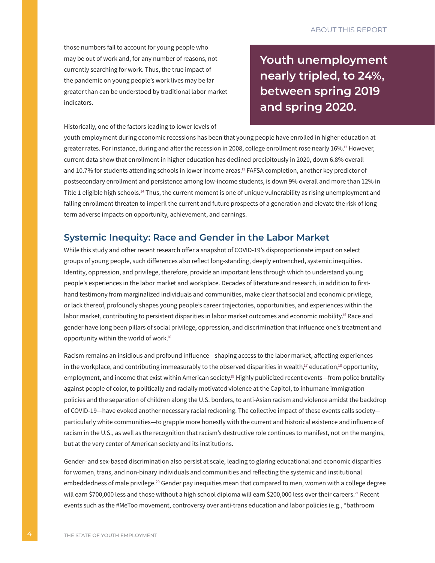those numbers fail to account for young people who may be out of work and, for any number of reasons, not currently searching for work. Thus, the true impact of the pandemic on young people's work lives may be far greater than can be understood by traditional labor market indicators.

**Youth unemployment nearly tripled, to 24%, between spring 2019 and spring 2020.**

Historically, one of the factors leading to lower levels of

youth employment during economic recessions has been that young people have enrolled in higher education at greater rates. For instance, during and after the recession in 2008, college enrollment rose nearly 16%.<sup>12</sup> However, current data show that enrollment in higher education has declined precipitously in 2020, down 6.8% overall and 10.7% for students attending schools in lower income areas.<sup>13</sup> FAFSA completion, another key predictor of postsecondary enrollment and persistence among low-income students, is down 9% overall and more than 12% in Title 1 eligible high schools.14 Thus, the current moment is one of unique vulnerability as rising unemployment and falling enrollment threaten to imperil the current and future prospects of a generation and elevate the risk of longterm adverse impacts on opportunity, achievement, and earnings.

### **Systemic Inequity: Race and Gender in the Labor Market**

While this study and other recent research offer a snapshot of COVID-19's disproportionate impact on select groups of young people, such differences also reflect long-standing, deeply entrenched, systemic inequities. Identity, oppression, and privilege, therefore, provide an important lens through which to understand young people's experiences in the labor market and workplace. Decades of literature and research, in addition to firsthand testimony from marginalized individuals and communities, make clear that social and economic privilege, or lack thereof, profoundly shapes young people's career trajectories, opportunities, and experiences within the labor market, contributing to persistent disparities in labor market outcomes and economic mobility.<sup>15</sup> Race and gender have long been pillars of social privilege, oppression, and discrimination that influence one's treatment and opportunity within the world of work.16

Racism remains an insidious and profound influence—shaping access to the labor market, affecting experiences in the workplace, and contributing immeasurably to the observed disparities in wealth, $17$  education, $18$  opportunity, employment, and income that exist within American society.<sup>19</sup> Highly publicized recent events—from police brutality against people of color, to politically and racially motivated violence at the Capitol, to inhumane immigration policies and the separation of children along the U.S. borders, to anti-Asian racism and violence amidst the backdrop of COVID-19—have evoked another necessary racial reckoning. The collective impact of these events calls society particularly white communities—to grapple more honestly with the current and historical existence and influence of racism in the U.S., as well as the recognition that racism's destructive role continues to manifest, not on the margins, but at the very center of American society and its institutions.

Gender- and sex-based discrimination also persist at scale, leading to glaring educational and economic disparities for women, trans, and non-binary individuals and communities and reflecting the systemic and institutional embeddedness of male privilege.<sup>20</sup> Gender pay inequities mean that compared to men, women with a college degree will earn \$700,000 less and those without a high school diploma will earn \$200,000 less over their careers.<sup>21</sup> Recent events such as the #MeToo movement, controversy over anti-trans education and labor policies (e.g., "bathroom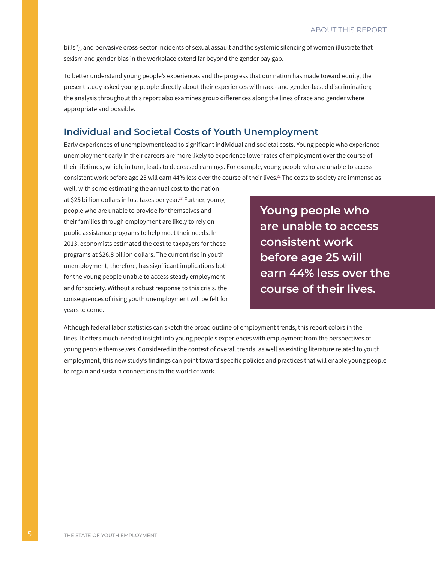bills"), and pervasive cross-sector incidents of sexual assault and the systemic silencing of women illustrate that sexism and gender bias in the workplace extend far beyond the gender pay gap.

To better understand young people's experiences and the progress that our nation has made toward equity, the present study asked young people directly about their experiences with race- and gender-based discrimination; the analysis throughout this report also examines group differences along the lines of race and gender where appropriate and possible.

# **Individual and Societal Costs of Youth Unemployment**

Early experiences of unemployment lead to significant individual and societal costs. Young people who experience unemployment early in their careers are more likely to experience lower rates of employment over the course of their lifetimes, which, in turn, leads to decreased earnings. For example, young people who are unable to access consistent work before age 25 will earn 44% less over the course of their lives.<sup>22</sup> The costs to society are immense as

well, with some estimating the annual cost to the nation at \$25 billion dollars in lost taxes per year.<sup>23</sup> Further, young people who are unable to provide for themselves and their families through employment are likely to rely on public assistance programs to help meet their needs. In 2013, economists estimated the cost to taxpayers for those programs at \$26.8 billion dollars. The current rise in youth unemployment, therefore, has significant implications both for the young people unable to access steady employment and for society. Without a robust response to this crisis, the consequences of rising youth unemployment will be felt for years to come.

**Young people who are unable to access consistent work before age 25 will earn 44% less over the course of their lives.**

Although federal labor statistics can sketch the broad outline of employment trends, this report colors in the lines. It offers much-needed insight into young people's experiences with employment from the perspectives of young people themselves. Considered in the context of overall trends, as well as existing literature related to youth employment, this new study's findings can point toward specific policies and practices that will enable young people to regain and sustain connections to the world of work.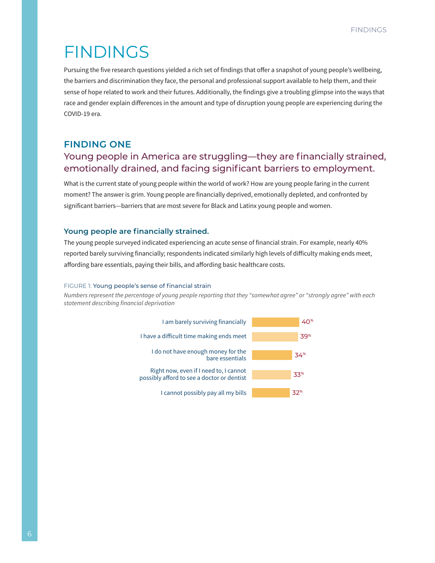# <span id="page-8-0"></span>FINDINGS

Pursuing the five research questions yielded a rich set of findings that offer a snapshot of young people's wellbeing, the barriers and discrimination they face, the personal and professional support available to help them, and their sense of hope related to work and their futures. Additionally, the findings give a troubling glimpse into the ways that race and gender explain differences in the amount and type of disruption young people are experiencing during the COVID-19 era.

## **FINDING ONE**

# Young people in America are struggling—they are financially strained, emotionally drained, and facing significant barriers to employment.

What is the current state of young people within the world of work? How are young people faring in the current moment? The answer is grim. Young people are financially deprived, emotionally depleted, and confronted by significant barriers—barriers that are most severe for Black and Latinx young people and women.

#### **Young people are financially strained.**

The young people surveyed indicated experiencing an acute sense of financial strain. For example, nearly 40% reported barely surviving financially; respondents indicated similarly high levels of difficulty making ends meet, affording bare essentials, paying their bills, and affording basic healthcare costs.

#### FIGURE 1: Young people's sense of financial strain

*Numbers represent the percentage of young people reporting that they "somewhat agree" or "strongly agree" with each statement describing financial deprivation*

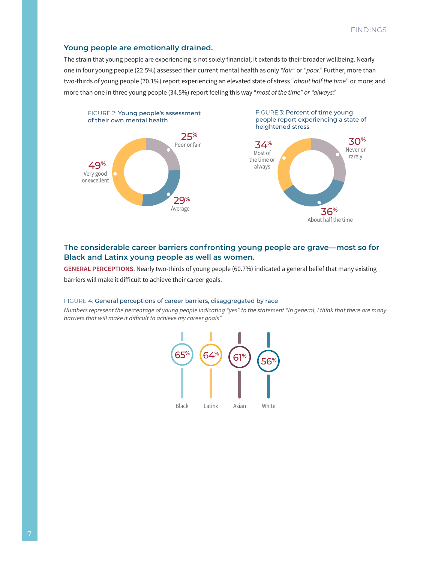#### **Young people are emotionally drained.**

The strain that young people are experiencing is not solely financial; it extends to their broader wellbeing. Nearly one in four young people (22.5%) assessed their current mental health as only *"fair"* or *"poor."* Further, more than two-thirds of young people (70.1%) report experiencing an elevated state of stress "*about half the time*" or more; and more than one in three young people (34.5%) report feeling this way "*most of the time" or "always."*



### **The considerable career barriers confronting young people are grave—most so for Black and Latinx young people as well as women.**

**GENERAL PERCEPTIONS**. Nearly two-thirds of young people (60.7%) indicated a general belief that many existing barriers will make it difficult to achieve their career goals.

#### FIGURE 4: General perceptions of career barriers, disaggregated by race

*Numbers represent the percentage of young people indicating "yes" to the statement "In general, I think that there are many barriers that will make it difficult to achieve my career goals"*

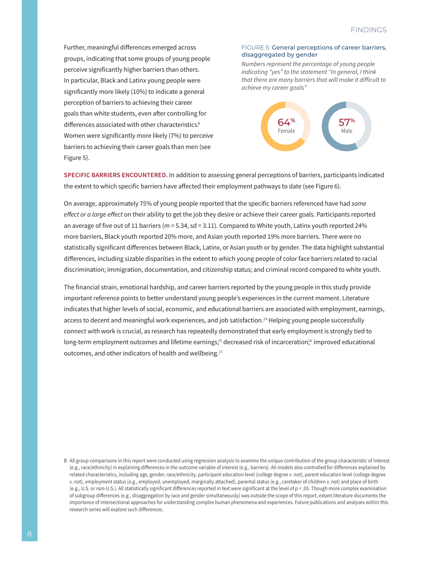Further, meaningful differences emerged across groups, indicating that some groups of young people perceive significantly higher barriers than others. In particular, Black and Latinx young people were significantly more likely (10%) to indicate a general perception of barriers to achieving their career goals than white students, even after controlling for differences associated with other characteristics.<sup>B</sup> Women were significantly more likely (7%) to perceive barriers to achieving their career goals than men (see Figure 5).

#### FIGURE 5: General perceptions of career barriers, disaggregated by gender

*Numbers represent the percentage of young people indicating "yes" to the statement "In general, I think that there are many barriers that will make it difficult to achieve my career goals"*



**SPECIFIC BARRIERS ENCOUNTERED.** In addition to assessing general perceptions of barriers, participants indicated the extent to which specific barriers have affected their employment pathways to date (see Figure 6).

On average, approximately 75% of young people reported that the specific barriers referenced have had *some effect or a large effect* on their ability to get the job they desire or achieve their career goals. Participants reported an average of five out of 11 barriers (m = 5.34, sd = 3.11). Compared to White youth, Latinx youth reported 24% more barriers, Black youth reported 20% more, and Asian youth reported 19% more barriers. There were no statistically significant differences between Black, Latinx, or Asian youth or by gender. The data highlight substantial differences, including sizable disparities in the extent to which young people of color face barriers related to racial discrimination; immigration, documentation, and citizenship status; and criminal record compared to white youth.

The financial strain, emotional hardship, and career barriers reported by the young people in this study provide important reference points to better understand young people's experiences in the current moment. Literature indicates that higher levels of social, economic, and educational barriers are associated with employment, earnings, access to decent and meaningful work experiences, and job satisfaction.<sup>24</sup> Helping young people successfully connect with work is crucial, as research has repeatedly demonstrated that early employment is strongly tied to long-term employment outcomes and lifetime earnings,<sup>25</sup> decreased risk of incarceration,<sup>26</sup> improved educational outcomes, and other indicators of health and wellbeing. $27$ 

B All group comparisons in this report were conducted using regression analysis to examine the unique contribution of the group characteristic of interest (e.g., race/ethnicity) in explaining differences in the outcome variable of interest (e.g., barriers). All models also controlled for differences explained by related characteristics, including age, gender, race/ethnicity, participant education level (college degree v. not), parent education level (college degree v. not), employment status (e.g., employed, unemployed, marginally attached), parental status (e.g., caretaker of children v. not) and place of birth (e.g., U.S. or non-U.S.). All statistically significant differences reported in text were significant at the level of p < .05. Though more complex examination of subgroup differences (e.g., disaggregation by race and gender simultaneously) was outside the scope of this report, extant literature documents the importance of intersectional approaches for understanding complex human phenomena and experiences. Future publications and analyses within this research series will explore such differences.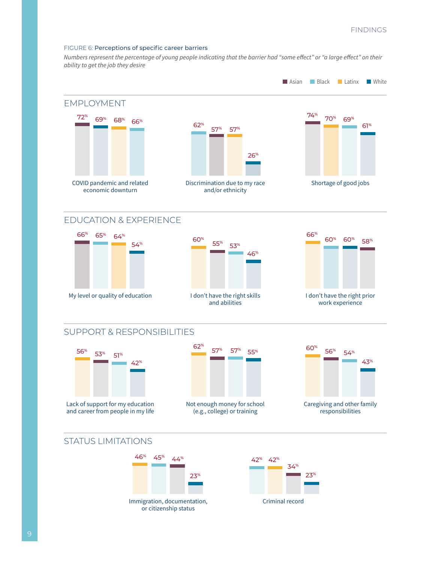#### FIGURE 6: Perceptions of specific career barriers

*Numbers represent the percentage of young people indicating that the barrier had "some effect" or "a large effect" on their ability to get the job they desire*



or citizenship status

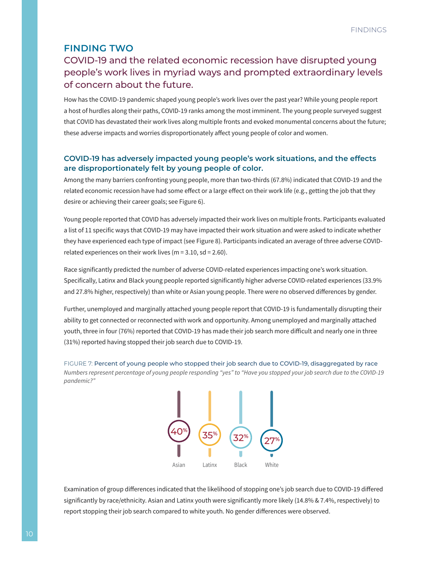# <span id="page-12-0"></span>**FINDING TWO**

# COVID-19 and the related economic recession have disrupted young people's work lives in myriad ways and prompted extraordinary levels of concern about the future.

How has the COVID-19 pandemic shaped young people's work lives over the past year? While young people report a host of hurdles along their paths, COVID-19 ranks among the most imminent. The young people surveyed suggest that COVID has devastated their work lives along multiple fronts and evoked monumental concerns about the future; these adverse impacts and worries disproportionately affect young people of color and women.

### **COVID-19 has adversely impacted young people's work situations, and the effects are disproportionately felt by young people of color.**

Among the many barriers confronting young people, more than two-thirds (67.8%) indicated that COVID-19 and the related economic recession have had some effect or a large effect on their work life (e.g., getting the job that they desire or achieving their career goals; see Figure 6).

Young people reported that COVID has adversely impacted their work lives on multiple fronts. Participants evaluated a list of 11 specific ways that COVID-19 may have impacted their work situation and were asked to indicate whether they have experienced each type of impact (see Figure 8). Participants indicated an average of three adverse COVIDrelated experiences on their work lives ( $m = 3.10$ , sd = 2.60).

Race significantly predicted the number of adverse COVID-related experiences impacting one's work situation. Specifically, Latinx and Black young people reported significantly higher adverse COVID-related experiences (33.9% and 27.8% higher, respectively) than white or Asian young people. There were no observed differences by gender.

Further, unemployed and marginally attached young people report that COVID-19 is fundamentally disrupting their ability to get connected or reconnected with work and opportunity. Among unemployed and marginally attached youth, three in four (76%) reported that COVID-19 has made their job search more difficult and nearly one in three (31%) reported having stopped their job search due to COVID-19.





Examination of group differences indicated that the likelihood of stopping one's job search due to COVID-19 differed significantly by race/ethnicity. Asian and Latinx youth were significantly more likely (14.8% & 7.4%, respectively) to report stopping their job search compared to white youth. No gender differences were observed.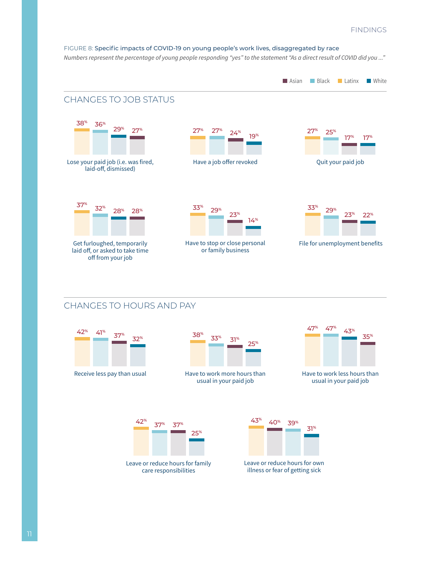#### FIGURE 8: Specific impacts of COVID-19 on young people's work lives, disaggregated by race *Numbers represent the percentage of young people responding "yes" to the statement "As a direct result of COVID did you ..."*



# CHANGES TO HOURS AND PAY





Have to work more hours than usual in your paid job



Have to work less hours than usual in your paid job



care responsibilities



Leave or reduce hours for own illness or fear of getting sick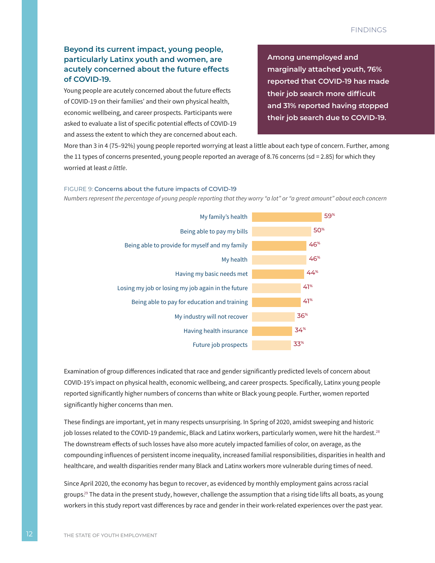### **Beyond its current impact, young people, particularly Latinx youth and women, are acutely concerned about the future effects of COVID-19.**

Young people are acutely concerned about the future effects of COVID-19 on their families' and their own physical health, economic wellbeing, and career prospects. Participants were asked to evaluate a list of specific potential effects of COVID-19 and assess the extent to which they are concerned about each. **Among unemployed and marginally attached youth, 76% reported that COVID-19 has made their job search more difficult and 31% reported having stopped their job search due to COVID-19.**

More than 3 in 4 (75–92%) young people reported worrying at least a little about each type of concern. Further, among the 11 types of concerns presented, young people reported an average of 8.76 concerns (sd = 2.85) for which they worried at least *a little*.

#### FIGURE 9: Concerns about the future impacts of COVID-19

*Numbers represent the percentage of young people reporting that they worry "a lot" or "a great amount" about each concern* 



Examination of group differences indicated that race and gender significantly predicted levels of concern about COVID-19's impact on physical health, economic wellbeing, and career prospects. Specifically, Latinx young people reported significantly higher numbers of concerns than white or Black young people. Further, women reported significantly higher concerns than men.

These findings are important, yet in many respects unsurprising. In Spring of 2020, amidst sweeping and historic job losses related to the COVID-19 pandemic, Black and Latinx workers, particularly women, were hit the hardest.<sup>28</sup> The downstream effects of such losses have also more acutely impacted families of color, on average, as the compounding influences of persistent income inequality, increased familial responsibilities, disparities in health and healthcare, and wealth disparities render many Black and Latinx workers more vulnerable during times of need.

Since April 2020, the economy has begun to recover, as evidenced by monthly employment gains across racial groups. <sup>29</sup> The data in the present study, however, challenge the assumption that a rising tide lifts all boats, as young workers in this study report vast differences by race and gender in their work-related experiences over the past year.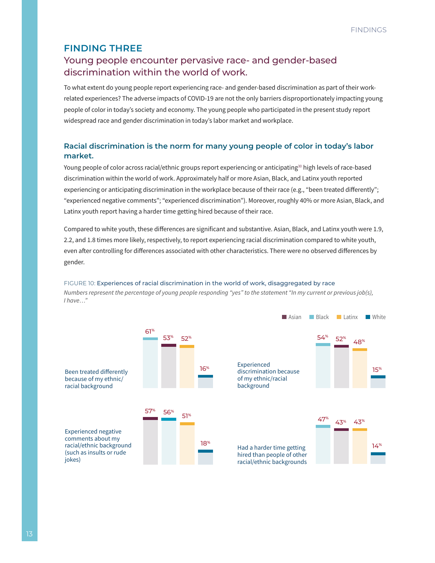# <span id="page-15-0"></span>**FINDING THREE**

# Young people encounter pervasive race- and gender-based discrimination within the world of work.

To what extent do young people report experiencing race- and gender-based discrimination as part of their workrelated experiences? The adverse impacts of COVID-19 are not the only barriers disproportionately impacting young people of color in today's society and economy. The young people who participated in the present study report widespread race and gender discrimination in today's labor market and workplace.

### **Racial discrimination is the norm for many young people of color in today's labor market.**

Young people of color across racial/ethnic groups report experiencing or anticipating<sup>30</sup> high levels of race-based discrimination within the world of work. Approximately half or more Asian, Black, and Latinx youth reported experiencing or anticipating discrimination in the workplace because of their race (e.g., "been treated differently"; "experienced negative comments"; "experienced discrimination"). Moreover, roughly 40% or more Asian, Black, and Latinx youth report having a harder time getting hired because of their race.

Compared to white youth, these differences are significant and substantive. Asian, Black, and Latinx youth were 1.9, 2.2, and 1.8 times more likely, respectively, to report experiencing racial discrimination compared to white youth, even after controlling for differences associated with other characteristics. There were no observed differences by gender.

#### FIGURE 10: Experiences of racial discrimination in the world of work, disaggregated by race *Numbers represent the percentage of young people responding "yes" to the statement "In my current or previous job(s),*

*I have…"*

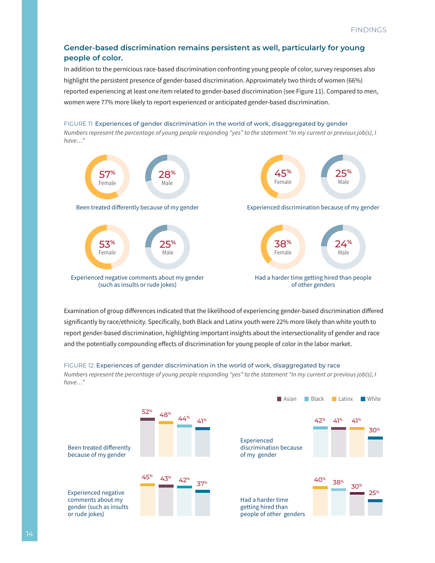### **Gender-based discrimination remains persistent as well, particularly for young people of color.**

In addition to the pernicious race-based discrimination confronting young people of color, survey responses also highlight the persistent presence of gender-based discrimination. Approximately two thirds of women (66%) reported experiencing at least one item related to gender-based discrimination (see Figure 11). Compared to men, women were 77% more likely to report experienced or anticipated gender-based discrimination.

#### FIGURE 11: Experiences of gender discrimination in the world of work, disaggregated by gender

*Numbers represent the percentage of young people responding "yes" to the statement "In my current or previous job(s), I have…"*



Examination of group differences indicated that the likelihood of experiencing gender-based discrimination differed significantly by race/ethnicity. Specifically, both Black and Latinx youth were 22% more likely than white youth to report gender-based discrimination, highlighting important insights about the intersectionality of gender and race and the potentially compounding effects of discrimination for young people of color in the labor market.

#### FIGURE 12: Experiences of gender discrimination in the world of work, disaggregated by race

*Numbers represent the percentage of young people responding "yes" to the statement "In my current or previous job(s), I have…"*

Asian Black Latinx White

|                                                                                               |     |     |     |     | — дэюн                                                             | <b>BULGO</b> N  | <b>ELGUILA</b> |                 | — vviite        |
|-----------------------------------------------------------------------------------------------|-----|-----|-----|-----|--------------------------------------------------------------------|-----------------|----------------|-----------------|-----------------|
| Been treated differently<br>because of my gender                                              | 52% | 48% | 44% | 41% | Experienced<br>discrimination because<br>of my gender              | 42%             | 41%            | 41%             | 30 <sup>%</sup> |
| <b>Experienced negative</b><br>comments about my<br>gender (such as insults<br>or rude jokes) | 45% | 43% | 42% | 37% | Had a harder time<br>getting hired than<br>people of other genders | 40 <sup>%</sup> | 38%            | 30 <sup>%</sup> | 25%             |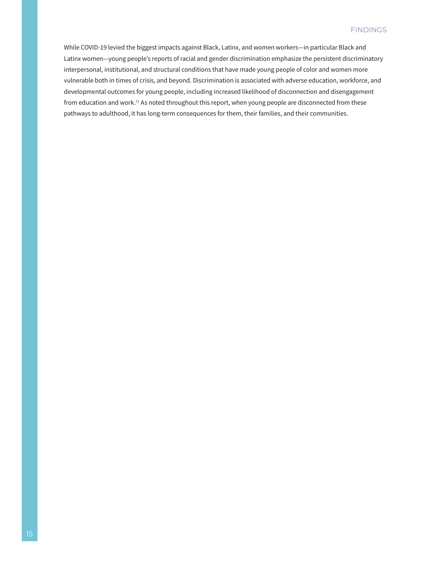While COVID-19 levied the biggest impacts against Black, Latinx, and women workers—in particular Black and Latinx women—young people's reports of racial and gender discrimination emphasize the persistent discriminatory interpersonal, institutional, and structural conditions that have made young people of color and women more vulnerable both in times of crisis, and beyond. Discrimination is associated with adverse education, workforce, and developmental outcomes for young people, including increased likelihood of disconnection and disengagement from education and work.<sup>31</sup> As noted throughout this report, when young people are disconnected from these pathways to adulthood, it has long-term consequences for them, their families, and their communities.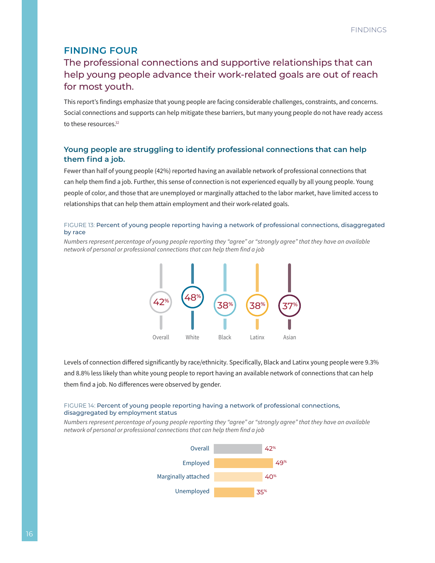# <span id="page-18-0"></span>**FINDING FOUR**

# The professional connections and supportive relationships that can help young people advance their work-related goals are out of reach for most youth.

This report's findings emphasize that young people are facing considerable challenges, constraints, and concerns. Social connections and supports can help mitigate these barriers, but many young people do not have ready access to these resources.<sup>32</sup>

### **Young people are struggling to identify professional connections that can help them find a job.**

Fewer than half of young people (42%) reported having an available network of professional connections that can help them find a job. Further, this sense of connection is not experienced equally by all young people. Young people of color, and those that are unemployed or marginally attached to the labor market, have limited access to relationships that can help them attain employment and their work-related goals.

#### FIGURE 13: Percent of young people reporting having a network of professional connections, disaggregated by race

*Numbers represent percentage of young people reporting they "agree" or "strongly agree" that they have an available network of personal or professional connections that can help them find a job*



Levels of connection differed significantly by race/ethnicity. Specifically, Black and Latinx young people were 9.3% and 8.8% less likely than white young people to report having an available network of connections that can help them find a job. No differences were observed by gender.

#### FIGURE 14: Percent of young people reporting having a network of professional connections, disaggregated by employment status

*Numbers represent percentage of young people reporting they "agree" or "strongly agree" that they have an available network of personal or professional connections that can help them find a job*

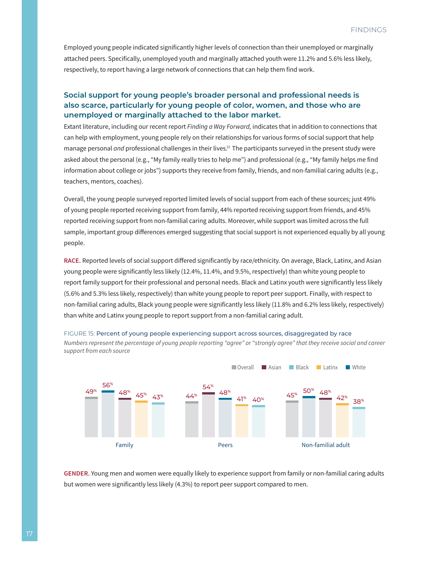Employed young people indicated significantly higher levels of connection than their unemployed or marginally attached peers. Specifically, unemployed youth and marginally attached youth were 11.2% and 5.6% less likely, respectively, to report having a large network of connections that can help them find work.

### **Social support for young people's broader personal and professional needs is also scarce, particularly for young people of color, women, and those who are unemployed or marginally attached to the labor market.**

Extant literature, including our recent report *Finding a Way Forward,* indicates that in addition to connections that can help with employment, young people rely on their relationships for various forms of social support that help manage personal *and* professional challenges in their lives.<sup>33</sup> The participants surveyed in the present study were asked about the personal (e.g., "My family really tries to help me") and professional (e.g., "My family helps me find information about college or jobs") supports they receive from family, friends, and non-familial caring adults (e.g., teachers, mentors, coaches).

Overall, the young people surveyed reported limited levels of social support from each of these sources; just 49% of young people reported receiving support from family, 44% reported receiving support from friends, and 45% reported receiving support from non-familial caring adults. Moreover, while support was limited across the full sample, important group differences emerged suggesting that social support is not experienced equally by all young people.

**RACE.** Reported levels of social support differed significantly by race/ethnicity. On average, Black, Latinx, and Asian young people were significantly less likely (12.4%, 11.4%, and 9.5%, respectively) than white young people to report family support for their professional and personal needs. Black and Latinx youth were significantly less likely (5.6% and 5.3% less likely, respectively) than white young people to report peer support. Finally, with respect to non-familial caring adults, Black young people were significantly less likely (11.8% and 6.2% less likely, respectively) than white and Latinx young people to report support from a non-familial caring adult.



FIGURE 15: Percent of young people experiencing support across sources, disaggregated by race *Numbers represent the percentage of young people reporting "agree" or "strongly agree" that they receive social and career support from each source*

**GENDER.** Young men and women were equally likely to experience support from family or non-familial caring adults but women were significantly less likely (4.3%) to report peer support compared to men.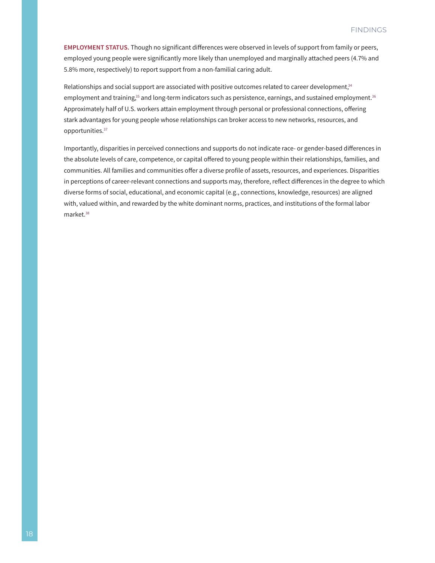**EMPLOYMENT STATUS.** Though no significant differences were observed in levels of support from family or peers, employed young people were significantly more likely than unemployed and marginally attached peers (4.7% and 5.8% more, respectively) to report support from a non-familial caring adult.

Relationships and social support are associated with positive outcomes related to career development, $34$ employment and training,<sup>35</sup> and long-term indicators such as persistence, earnings, and sustained employment.<sup>36</sup> Approximately half of U.S. workers attain employment through personal or professional connections, offering stark advantages for young people whose relationships can broker access to new networks, resources, and opportunities.37

Importantly, disparities in perceived connections and supports do not indicate race- or gender-based differences in the absolute levels of care, competence, or capital offered to young people within their relationships, families, and communities. All families and communities offer a diverse profile of assets, resources, and experiences. Disparities in perceptions of career-relevant connections and supports may, therefore, reflect differences in the degree to which diverse forms of social, educational, and economic capital (e.g., connections, knowledge, resources) are aligned with, valued within, and rewarded by the white dominant norms, practices, and institutions of the formal labor market.38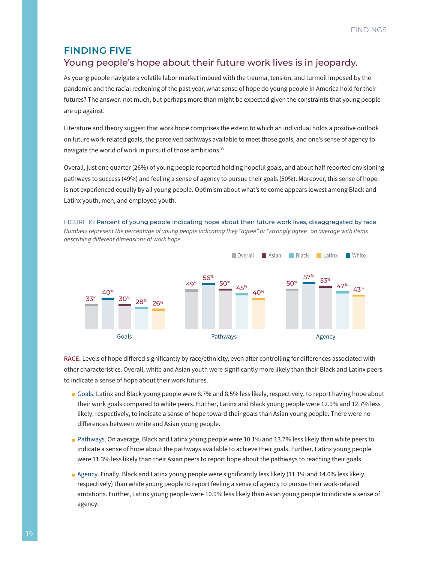# <span id="page-21-0"></span>**FINDING FIVE**

# Young people's hope about their future work lives is in jeopardy.

As young people navigate a volatile labor market imbued with the trauma, tension, and turmoil imposed by the pandemic and the racial reckoning of the past year, what sense of hope do young people in America hold for their futures? The answer: not much, but perhaps more than might be expected given the constraints that young people are up against.

Literature and theory suggest that work hope comprises the extent to which an individual holds a positive outlook on future work-related goals, the perceived pathways available to meet those goals, and one's sense of agency to navigate the world of work in pursuit of those ambitions.39

Overall, just one quarter (26%) of young people reported holding hopeful goals, and about half reported envisioning pathways to success (49%) and feeling a sense of agency to pursue their goals (50%). Moreover, this sense of hope is not experienced equally by all young people. Optimism about what's to come appears lowest among Black and Latinx youth, men, and employed youth.

FIGURE 16: Percent of young people indicating hope about their future work lives, disaggregated by race *Numbers represent the percentage of young people indicating they "agree" or "strongly agree" on average with items* 



**RACE.** Levels of hope differed significantly by race/ethnicity, even after controlling for differences associated with other characteristics. Overall, white and Asian youth were significantly more likely than their Black and Latinx peers to indicate a sense of hope about their work futures.

- Goals. Latinx and Black young people were 8.7% and 8.5% less likely, respectively, to report having hope about their work goals compared to white peers. Further, Latinx and Black young people were 12.9% and 12.7% less likely, respectively, to indicate a sense of hope toward their goals than Asian young people. There were no differences between white and Asian young people.
- Pathways. On average, Black and Latinx young people were 10.1% and 13.7% less likely than white peers to indicate a sense of hope about the pathways available to achieve their goals. Further, Latinx young people were 11.3% less likely than their Asian peers to report hope about the pathways to reaching their goals.
- Agency. Finally, Black and Latinx young people were significantly less likely (11.1% and 14.0% less likely, respectively) than white young people to report feeling a sense of agency to pursue their work-related ambitions. Further, Latinx young people were 10.9% less likely than Asian young people to indicate a sense of agency.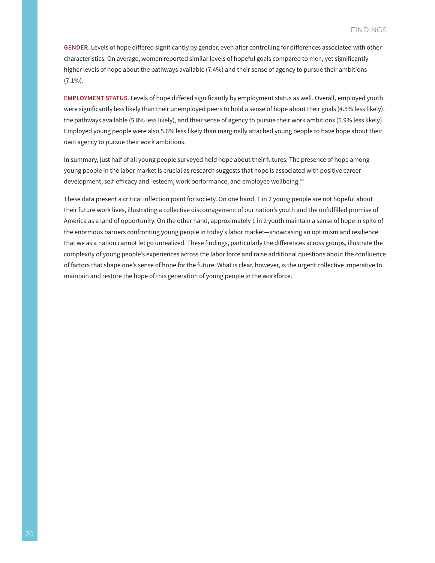**GENDER**. Levels of hope differed significantly by gender, even after controlling for differences associated with other characteristics. On average, women reported similar levels of hopeful goals compared to men, yet significantly higher levels of hope about the pathways available (7.4%) and their sense of agency to pursue their ambitions  $(7.1\%)$ .

**EMPLOYMENT STATUS**. Levels of hope differed significantly by employment status as well. Overall, employed youth were significantly less likely than their unemployed peers to hold a sense of hope about their goals (4.5% less likely), the pathways available (5.8% less likely), and their sense of agency to pursue their work ambitions (5.9% less likely). Employed young people were also 5.6% less likely than marginally attached young people to have hope about their own agency to pursue their work ambitions.

In summary, just half of all young people surveyed hold hope about their futures. The presence of hope among young people in the labor market is crucial as research suggests that hope is associated with positive career development, self-efficacy and -esteem, work performance, and employee wellbeing.<sup>40</sup>

These data present a critical inflection point for society. On one hand, 1 in 2 young people are not hopeful about their future work lives, illustrating a collective discouragement of our nation's youth and the unfulfilled promise of America as a land of opportunity. On the other hand, approximately 1 in 2 youth maintain a sense of hope in spite of the enormous barriers confronting young people in today's labor market—showcasing an optimism and resilience that we as a nation cannot let go unrealized. These findings, particularly the differences across groups, illustrate the complexity of young people's experiences across the labor force and raise additional questions about the confluence of factors that shape one's sense of hope for the future. What is clear, however, is the urgent collective imperative to maintain and restore the hope of this generation of young people in the workforce.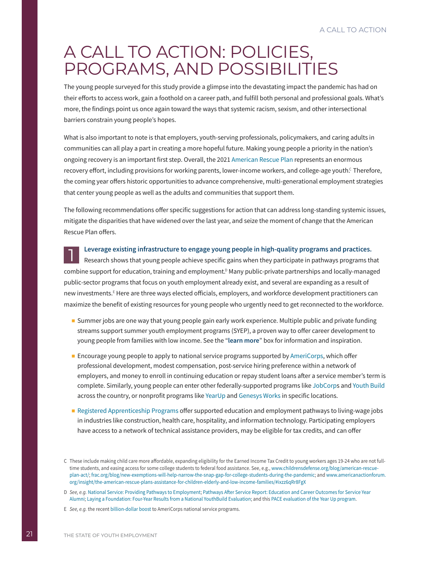# <span id="page-23-0"></span>A CALL TO ACTION: POLICIES, PROGRAMS, AND POSSIBILITIES

The young people surveyed for this study provide a glimpse into the devastating impact the pandemic has had on their efforts to access work, gain a foothold on a career path, and fulfill both personal and professional goals. What's more, the findings point us once again toward the ways that systemic racism, sexism, and other intersectional barriers constrain young people's hopes.

What is also important to note is that employers, youth-serving professionals, policymakers, and caring adults in communities can all play a part in creating a more hopeful future. Making young people a priority in the nation's ongoing recovery is an important first step. Overall, the 202[1 American Rescue Plan](https://independentsector.org/resource/americanrescueact21/) represents an enormous recovery effort, including provisions for working parents, lower-income workers, and college-age youth. $^{\rm c}$  Therefore, the coming year offers historic opportunities to advance comprehensive, multi-generational employment strategies that center young people as well as the adults and communities that support them.

The following recommendations offer specific suggestions for action that can address long-standing systemic issues, mitigate the disparities that have widened over the last year, and seize the moment of change that the American Rescue Plan offers.

**Leverage existing infrastructure to engage young people in high-quality programs and practices.**

1 Research shows that young people achieve specific gains when they participate in pathways programs that combine support for education, training and employment.<sup>D</sup> Many public-private partnerships and locally-managed public-sector programs that focus on youth employment already exist, and several are expanding as a result of new investments.E Here are three ways elected officials, employers, and workforce development practitioners can maximize the benefit of existing resources for young people who urgently need to get reconnected to the workforce.

- Summer jobs are one way that young people gain early work experience. Multiple public and private funding streams support summer youth employment programs (SYEP), a proven way to offer career development to young people from families with low income. See the "**learn more**" box for information and inspiration.
- Encourage young people to apply to national service programs supported by [AmeriCorps,](https://americorps.gov/about) which offer professional development, modest compensation, post-service hiring preference within a network of employers, and money to enroll in continuing education or repay student loans after a service member's term is complete. Similarly, young people can enter other federally-supported programs like [JobCorp](https://www.jobcorps.gov/)s and [Youth Build](https://www.dol.gov/agencies/eta/youth/youthbuild) across the country, or nonprofit programs like [YearUp](https://www.yearup.org/) and [Genesys Works](https://genesysworks.org/) in specific locations.
- [Registered Apprenticeship Programs](https://www.apprenticeship.gov/employers/registered-apprenticeship-program) offer supported education and employment pathways to living-wage jobs in industries like construction, health care, hospitality, and information technology. Participating employers have access to a network of technical assistance providers, may be eligible for tax credits, and can offer

C These include making child care more affordable, expanding eligibility for the Earned Income Tax Credit to young workers ages 19-24 who are not fulltime students, and easing access for some college students to federal food assistance. See, e.g., [www.childrensdefense.org/blog/american-rescue](https://www.childrensdefense.org/blog/american-rescue-plan-act/)[plan-act/](https://www.childrensdefense.org/blog/american-rescue-plan-act/); [frac.org/blog/new-exemptions-will-help-narrow-the-snap-gap-for-college-students-during-the-pandemic](https://frac.org/blog/new-exemptions-will-help-narrow-the-snap-gap-for-college-students-during-the-pandemic); and [www.americanactionforum.](https://www.americanactionforum.org/insight/the-american-rescue-plans-assistance-for-children-elderly-and-low-income-families/) [org/insight/the-american-rescue-plans-assistance-for-children-elderly-and-low-income-families/#ixzz6qRr8FgX](https://www.americanactionforum.org/insight/the-american-rescue-plans-assistance-for-children-elderly-and-low-income-families/)

D *See, e.g.* [National Service: Providing Pathways to Employment;](https://voicesforservice.org/research-and-reports/national-service-pathways-employment/) [Pathways After Service Report: Education and Career Outcomes for Service Year](https://www.serviceyearalliance.org/pathways_after_service_report)  [Alumni](https://www.serviceyearalliance.org/pathways_after_service_report); [Laying a Foundation: Four-Year Results from a National YouthBuild Evaluation](https://www.mdrc.org/publication/laying-foundation); and this [PACE evaluation of the Year Up program.](https://yearup.widen.net/s/dhhr6wxtsp/2018-pace-evaluation-results-overview)

E *See, e.g.* the recent [billion-dollar boost](https://americorps.gov/newsroom/news/american-rescue-plan) to AmeriCorps national service programs.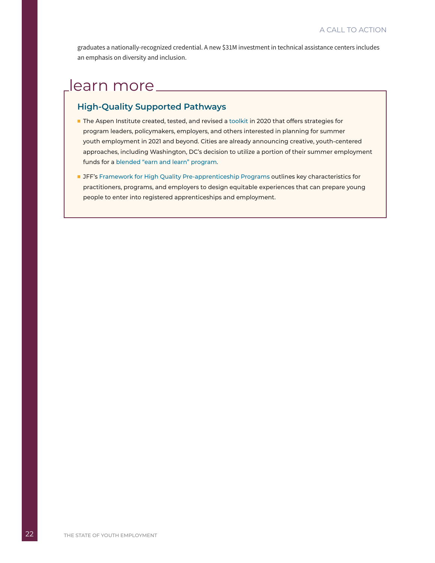graduates a nationally-recognized credential. A [new \\$31M investment i](https://www.dol.gov/newsroom/releases/eta/eta20210322-1)n technical assistance centers includes an emphasis on diversity and inclusion.

# learn more

# **High-Quality Supported Pathways**

- The Aspen Institute created, tested, and revised a [toolkit](https://www.aspeninstitute.org/publications/digital-summer-youth-employment-toolkit-2-0/) in 2020 that offers strategies for program leaders, policymakers, employers, and others interested in planning for summer youth employment in 2021 and beyond. Cities are already announcing creative, youth-centered approaches, including Washington, DC's decision to utilize a portion of their summer employment funds for a [blended "earn and learn" program](https://www.the74million.org/article/d-c-summer-jobs-program-will-pay-teens-to-take-classes-as-city-combats-learning-loss/).
- JFF's [Framework for High Quality Pre-apprenticeship Programs](https://www.jff.org/resources/jffs-framework-high-quality-pre-apprenticeship-program/) outlines key characteristics for practitioners, programs, and employers to design equitable experiences that can prepare young people to enter into registered apprenticeships and employment.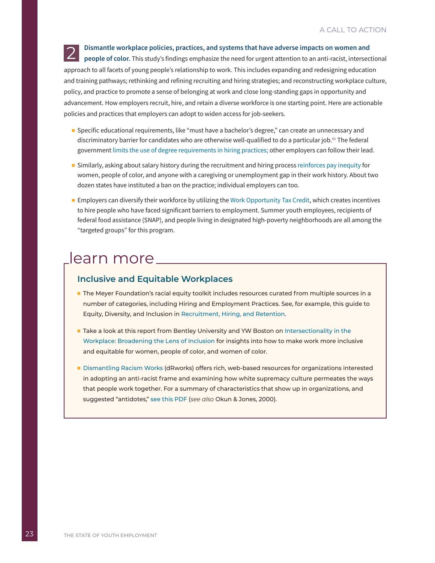**2** Dismantle workplace policies, practices, and systems that have adverse impacts on women and people of color. This study's findings emphasize the need for urgent attention to an anti-racist, intersectional approach to all facets of young people's relationship to work. This includes expanding and redesigning education and training pathways; rethinking and refining recruiting and hiring strategies; and reconstructing workplace culture, policy, and practice to promote a sense of belonging at work and close long-standing gaps in opportunity and advancement. How employers recruit, hire, and retain a diverse workforce is one starting point. Here are actionable policies and practices that employers can adopt to widen access for job-seekers.

- Specific educational requirements, like "must have a bachelor's degree," can create an unnecessary and discriminatory barrier for candidates who are otherwise well-qualified to do a particular job.41 The federal government [limits the use of degree requirements in hiring practices;](https://www.whitehouse.gov/wp-content/uploads/2021/01/Limiting-Use-of-Educational-Requirements-in-Federal-Service-Contracts.pdf) other employers can follow their lead.
- Similarly, asking about salary history during the recruitment and hiring process [reinforces pay inequity](http://www.bu.edu/articles/2020/salary-history-bans-help-narrow-racial-gender-wage-gaps/) for women, people of color, and anyone with a caregiving or unemployment gap in their work history. About two dozen states have instituted a ban on the practice; individual employers can too.
- Employers can diversify their workforce by utilizing the [Work Opportunity Tax Credit,](https://www.irs.gov/businesses/small-businesses-self-employed/work-opportunity-tax-credit) which creates incentives to hire people who have faced significant barriers to employment. Summer youth employees, recipients of federal food assistance (SNAP), and people living in designated high-poverty neighborhoods are all among the "targeted groups" for this program.

# learn more

# **Inclusive and Equitable Workplaces**

- The Meyer Foundation's racial equity toolkit includes resources curated from multiple sources in a number of categories, including Hiring and Employment Practices. See, for example, this guide to Equity, Diversity, and Inclusion in [Recruitment, Hiring, and Retention](https://www.meyerfoundation.org/wp-content/uploads/2019/12/USDN-Equity-Diversity-and-Inclusion-in-Recruitment-Hiring-and-Retention.pdf).
- Take a look at this report from Bentley University and YW Boston on Intersectionality in the [Workplace: Broadening the Lens of Inclusion](https://www.ywboston.org/2019/05/intersectionality-in-the-workplace-broadening-the-lens-of-inclusion/) for insights into how to make work more inclusive and equitable for women, people of color, and women of color.
- [Dismantling Racism Works](https://www.dismantlingracism.org/) (dRworks) offers rich, web-based resources for organizations interested in adopting an anti-racist frame and examining how white supremacy culture permeates the ways that people work together. For a summary of characteristics that show up in organizations, and suggested "antidotes," [see this PDF](https://www.dismantlingracism.org/uploads/4/3/5/7/43579015/okun_-_white_sup_culture.pdf) (*see also* Okun & Jones, 2000).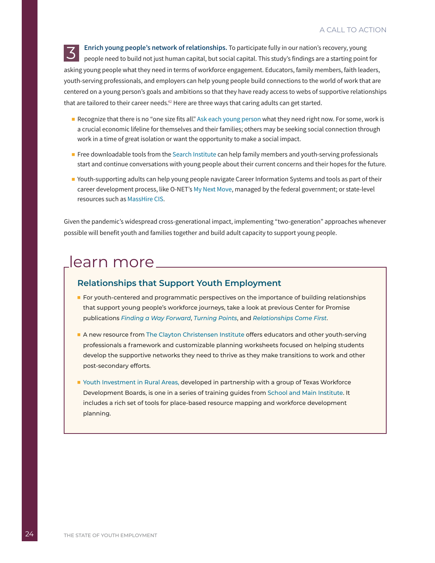**3** Enrich young people's network of relationships. To participate fully in our nation's recovery, young people need to build not just human capital, but social capital. This study's findings are a starting point for asking young people what they need in terms of workforce engagement. Educators, family members, faith leaders, youth-serving professionals, and employers can help young people build connections to the world of work that are centered on a young person's goals and ambitions so that they have ready access to webs of supportive relationships that are tailored to their career needs.<sup>42</sup> Here are three ways that caring adults can get started.

- Recognize that there is no "one size fits all." [Ask each young person](https://www.americaspromise.org/voices-of-young-people#google1) what they need right now. For some, work is a crucial economic lifeline for themselves and their families; others may be seeking social connection through work in a time of great isolation or want the opportunity to make a social impact.
- Free downloadable tools from the [Search Institute](https://www.search-institute.org/tools-resources/free-downloads/) can help family members and youth-serving professionals start and continue conversations with young people about their current concerns and their hopes for the future.
- Youth-supporting adults can help young people navigate Career Information Systems and tools as part of their career development process, like O-NET's [My Next Move](https://www.mynextmove.org/), managed by the federal government; or state-level resources such as [MassHire CIS.](https://portal.masscis.intocareers.org/)

Given the pandemic's widespread cross-generational impact, implementing ["two-generation"](https://ascend.aspeninstitute.org/two-generation/what-is-2gen/) approaches whenever possible will benefit youth and families together and build adult capacity to support young people.

# learn more

### **Relationships that Support Youth Employment**

- For youth-centered and programmatic perspectives on the importance of building relationships that support young people's workforce journeys, take a look at previous Center for Promise publications *[Finding a Way Forward](https://www.americaspromise.org/finding-way-forward-young-peoples-experiences-navigating-world-work)*, *[Turning Points](https://www.americaspromise.org/resource/turning-points-how-young-people-four-career-pathways-programs-describe-relationships-shape)*, and *[Relationships Come First](https://www.americaspromise.org/resource/relationships-come-first)*.
- A new resource from [The Clayton Christensen Institute](https://whoyouknow.org/Playbook/) offers educators and other youth-serving professionals a framework and customizable planning worksheets focused on helping students develop the supportive networks they need to thrive as they make transitions to work and other post-secondary efforts.
- [Youth Investment in Rural Areas](https://static1.1.sqspcdn.com/static/f/1003781/13662240/1344879487770/ruralyouth1203.pdf?token=G1MBCPPA8gBqWsiOBJFgd3cAB8Y%3D), developed in partnership with a group of Texas Workforce Development Boards, is one in a series of training guides from [School and Main Institute.](https://www.schoolandmain.org/tools/) It includes a rich set of tools for place-based resource mapping and workforce development planning.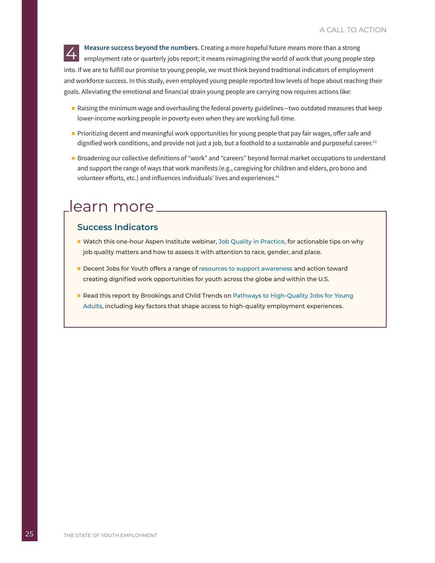**EXED Measure success beyond the numbers.** Creating a more hopeful future means more than a strong employment rate or quarterly jobs report; it means reimagining the world of work that young people step into. If we are to fulfill our promise to young people, we must think beyond traditional indicators of employment and workforce success. In this study, even employed young people reported low levels of hope about reaching their goals. Alleviating the emotional and financial strain young people are carrying now requires actions like:

- Raising the minimum wage and overhauling the federal poverty guidelines—two outdated measures that keep lower-income working people in poverty even when they are working full-time.
- Prioritizing decent and meaningful work opportunities for young people that pay fair wages, offer safe and dignified work conditions, and provide not just a job, but a foothold to a sustainable and purposeful career.<sup>43</sup>
- Broadening our collective definitions of "work" and "careers" beyond formal market occupations to understand and support the range of ways that work manifests (e.g., caregiving for children and elders, pro bono and volunteer efforts, etc.) and influences individuals' lives and experiences.<sup>44</sup>

# learn more \_\_\_\_\_\_\_\_\_\_\_\_

### **Success Indicators**

- Watch this one-hour Aspen Institute webinar, [Job Quality in Practice,](https://www.aspeninstitute.org/events/job-quality-in-practice-webinar-assessing-job-quality-and-equity-in-your-local-labor-market-a-closer-look-at-race-gender-and-place/) for actionable tips on why job quality matters and how to assess it with attention to race, gender, and place.
- Decent Jobs for Youth offers a range of [resources to support awareness](https://www.decentjobsforyouth.org/knowledge#learn) and action toward creating dignified work opportunities for youth across the globe and within the U.S.
- Read this report by Brookings and Child Trends on Pathways to High-Quality Jobs for Young [Adults,](https://www.brookings.edu/wp-content/uploads/2018/10/Brookings_Child-Trends_Pathways-for-High-Quality-Jobs-FINAL.pdf) including key factors that shape access to high-quality employment experiences.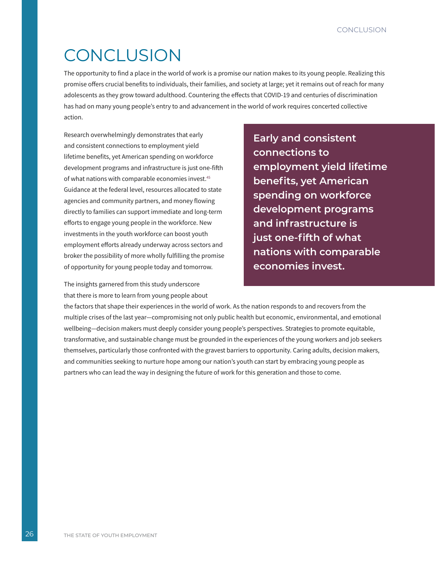# <span id="page-28-0"></span>**CONCLUSION**

The opportunity to find a place in the world of work is a promise our nation makes to its young people. Realizing this promise offers crucial benefits to individuals, their families, and society at large; yet it remains out of reach for many adolescents as they grow toward adulthood. Countering the effects that COVID-19 and centuries of discrimination has had on many young people's entry to and advancement in the world of work requires concerted collective action.

Research overwhelmingly demonstrates that early and consistent connections to employment yield lifetime benefits, yet American spending on workforce development programs and infrastructure is just one-fifth of what nations with comparable economies invest.<sup>45</sup> Guidance at the federal level, resources allocated to state agencies and community partners, and money flowing directly to families can support immediate and long-term efforts to engage young people in the workforce. New investments in the youth workforce can boost youth employment efforts already underway across sectors and broker the possibility of more wholly fulfilling the promise of opportunity for young people today and tomorrow.

The insights garnered from this study underscore that there is more to learn from young people about

**Early and consistent connections to employment yield lifetime benefits, yet American spending on workforce development programs and infrastructure is just one-fifth of what nations with comparable economies invest.**

the factors that shape their experiences in the world of work. As the nation responds to and recovers from the multiple crises of the last year—compromising not only public health but economic, environmental, and emotional wellbeing—decision makers must deeply consider young people's perspectives. Strategies to promote equitable, transformative, and sustainable change must be grounded in the experiences of the young workers and job seekers themselves, particularly those confronted with the gravest barriers to opportunity. Caring adults, decision makers, and communities seeking to nurture hope among our nation's youth can start by embracing young people as partners who can lead the way in designing the future of work for this generation and those to come.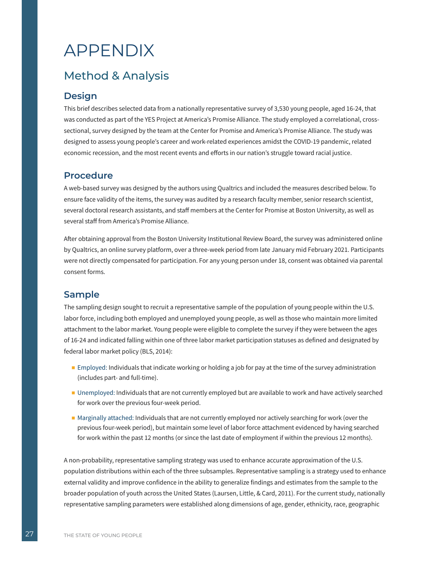# <span id="page-29-0"></span>APPENDIX

# Method & Analysis

# **Design**

This brief describes selected data from a nationally representative survey of 3,530 young people, aged 16-24, that was conducted as part of the YES Project at America's Promise Alliance. The study employed a correlational, crosssectional, survey designed by the team at the Center for Promise and America's Promise Alliance. The study was designed to assess young people's career and work-related experiences amidst the COVID-19 pandemic, related economic recession, and the most recent events and efforts in our nation's struggle toward racial justice.

### **Procedure**

A web-based survey was designed by the authors using Qualtrics and included the measures described below. To ensure face validity of the items, the survey was audited by a research faculty member, senior research scientist, several doctoral research assistants, and staff members at the Center for Promise at Boston University, as well as several staff from America's Promise Alliance.

After obtaining approval from the Boston University Institutional Review Board, the survey was administered online by Qualtrics, an online survey platform, over a three-week period from late January mid February 2021. Participants were not directly compensated for participation. For any young person under 18, consent was obtained via parental consent forms.

# **Sample**

The sampling design sought to recruit a representative sample of the population of young people within the U.S. labor force, including both employed and unemployed young people, as well as those who maintain more limited attachment to the labor market. Young people were eligible to complete the survey if they were between the ages of 16-24 and indicated falling within one of three labor market participation statuses as defined and designated by federal labor market policy (BLS, 2014):

- Employed: Individuals that indicate working or holding a job for pay at the time of the survey administration (includes part- and full-time).
- Unemployed: Individuals that are not currently employed but are available to work and have actively searched for work over the previous four-week period.
- Marginally attached: Individuals that are not currently employed nor actively searching for work (over the previous four-week period), but maintain some level of labor force attachment evidenced by having searched for work within the past 12 months (or since the last date of employment if within the previous 12 months).

A non-probability, representative sampling strategy was used to enhance accurate approximation of the U.S. population distributions within each of the three subsamples. Representative sampling is a strategy used to enhance external validity and improve confidence in the ability to generalize findings and estimates from the sample to the broader population of youth across the United States (Laursen, Little, & Card, 2011). For the current study, nationally representative sampling parameters were established along dimensions of age, gender, ethnicity, race, geographic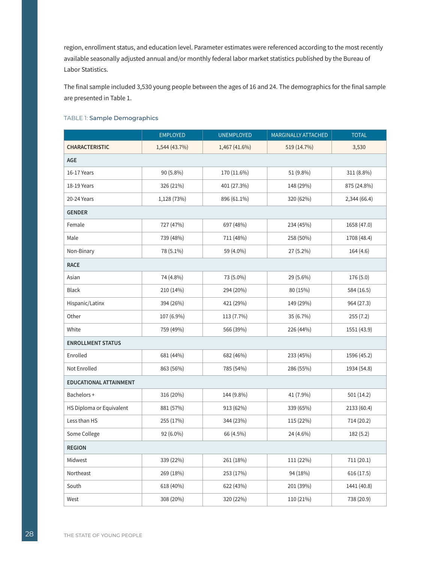region, enrollment status, and education level. Parameter estimates were referenced according to the most recently available seasonally adjusted annual and/or monthly federal labor market statistics published by the Bureau of Labor Statistics.

The final sample included 3,530 young people between the ages of 16 and 24. The demographics for the final sample are presented in Table 1.

#### TABLE 1: Sample Demographics

|                               | <b>EMPLOYED</b> | <b>UNEMPLOYED</b> | MARGINALLY ATTACHED | <b>TOTAL</b> |  |  |  |  |  |  |
|-------------------------------|-----------------|-------------------|---------------------|--------------|--|--|--|--|--|--|
| <b>CHARACTERISTIC</b>         | 1,544 (43.7%)   | 1,467 (41.6%)     | 519 (14.7%)         | 3,530        |  |  |  |  |  |  |
| AGE                           |                 |                   |                     |              |  |  |  |  |  |  |
| 16-17 Years                   | 90 (5.8%)       | 170 (11.6%)       | 51 (9.8%)           | 311 (8.8%)   |  |  |  |  |  |  |
| 18-19 Years                   | 326 (21%)       | 401 (27.3%)       | 148 (29%)           | 875 (24.8%)  |  |  |  |  |  |  |
| 20-24 Years                   | 1,128 (73%)     | 896 (61.1%)       | 320 (62%)           | 2,344 (66.4) |  |  |  |  |  |  |
| <b>GENDER</b>                 |                 |                   |                     |              |  |  |  |  |  |  |
| Female                        | 727 (47%)       | 697 (48%)         | 234 (45%)           | 1658 (47.0)  |  |  |  |  |  |  |
| Male                          | 739 (48%)       | 711 (48%)         | 258 (50%)           | 1708 (48.4)  |  |  |  |  |  |  |
| Non-Binary                    | 78 (5.1%)       | 59 (4.0%)         | 27 (5.2%)           | 164(4.6)     |  |  |  |  |  |  |
| <b>RACE</b>                   |                 |                   |                     |              |  |  |  |  |  |  |
| Asian                         | 74 (4.8%)       | 73 (5.0%)         | 29 (5.6%)           | 176 (5.0)    |  |  |  |  |  |  |
| <b>Black</b>                  | 210 (14%)       | 294 (20%)         | 80 (15%)            | 584 (16.5)   |  |  |  |  |  |  |
| Hispanic/Latinx               | 394 (26%)       | 421 (29%)         | 149 (29%)           | 964 (27.3)   |  |  |  |  |  |  |
| Other                         | 107 (6.9%)      | 113 (7.7%)        | 35 (6.7%)           | 255(7.2)     |  |  |  |  |  |  |
| White                         | 759 (49%)       | 566 (39%)         | 226 (44%)           | 1551 (43.9)  |  |  |  |  |  |  |
| <b>ENROLLMENT STATUS</b>      |                 |                   |                     |              |  |  |  |  |  |  |
| Enrolled                      | 681 (44%)       | 682 (46%)         | 233 (45%)           | 1596 (45.2)  |  |  |  |  |  |  |
| Not Enrolled                  | 863 (56%)       | 785 (54%)         | 286 (55%)           | 1934 (54.8)  |  |  |  |  |  |  |
| <b>EDUCATIONAL ATTAINMENT</b> |                 |                   |                     |              |  |  |  |  |  |  |
| Bachelors+                    | 316 (20%)       | 144 (9.8%)        | 41 (7.9%)           | 501(14.2)    |  |  |  |  |  |  |
| HS Diploma or Equivalent      | 881 (57%)       | 913 (62%)         | 339 (65%)           | 2133 (60.4)  |  |  |  |  |  |  |
| Less than HS                  | 255 (17%)       | 344 (23%)         | 115 (22%)           | 714 (20.2)   |  |  |  |  |  |  |
| Some College                  | 92 (6.0%)       | 66 (4.5%)         | 24 (4.6%)           | 182(5.2)     |  |  |  |  |  |  |
| <b>REGION</b>                 |                 |                   |                     |              |  |  |  |  |  |  |
| Midwest                       | 339 (22%)       | 261 (18%)         | 111 (22%)           | 711(20.1)    |  |  |  |  |  |  |
| Northeast                     | 269 (18%)       | 253 (17%)         | 94 (18%)            | 616(17.5)    |  |  |  |  |  |  |
| South                         | 618 (40%)       | 622 (43%)         | 201 (39%)           | 1441 (40.8)  |  |  |  |  |  |  |
| West                          | 308 (20%)       | 320 (22%)         | 110 (21%)           | 738 (20.9)   |  |  |  |  |  |  |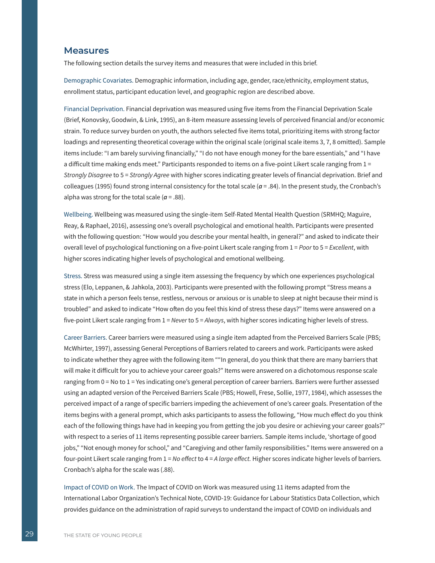### **Measures**

The following section details the survey items and measures that were included in this brief.

Demographic Covariates. Demographic information, including age, gender, race/ethnicity, employment status, enrollment status, participant education level, and geographic region are described above.

Financial Deprivation. Financial deprivation was measured using five items from the Financial Deprivation Scale (Brief, Konovsky, Goodwin, & Link, 1995), an 8-item measure assessing levels of perceived financial and/or economic strain. To reduce survey burden on youth, the authors selected five items total, prioritizing items with strong factor loadings and representing theoretical coverage within the original scale (original scale items 3, 7, 8 omitted). Sample items include: "I am barely surviving financially," "I do not have enough money for the bare essentials," and "I have a difficult time making ends meet." Participants responded to items on a five-point Likert scale ranging from 1 = *Strongly Disagree* to 5 = *Strongly Agree* with higher scores indicating greater levels of financial deprivation. Brief and colleagues (1995) found strong internal consistency for the total scale ( $a = .84$ ). In the present study, the Cronbach's alpha was strong for the total scale ( $a = .88$ ).

Wellbeing. Wellbeing was measured using the single-item Self-Rated Mental Health Question (SRMHQ; Maguire, Reay, & Raphael, 2016), assessing one's overall psychological and emotional health. Participants were presented with the following question: "How would you describe your mental health, in general?" and asked to indicate their overall level of psychological functioning on a five-point Likert scale ranging from 1 = *Poor* to 5 = *Excellent*, with higher scores indicating higher levels of psychological and emotional wellbeing.

Stress. Stress was measured using a single item assessing the frequency by which one experiences psychological stress (Elo, Leppanen, & Jahkola, 2003). Participants were presented with the following prompt "Stress means a state in which a person feels tense, restless, nervous or anxious or is unable to sleep at night because their mind is troubled" and asked to indicate "How often do you feel this kind of stress these days?" Items were answered on a five-point Likert scale ranging from 1 = *Never* to 5 = *Always*, with higher scores indicating higher levels of stress.

Career Barriers. Career barriers were measured using a single item adapted from the Perceived Barriers Scale (PBS; McWhirter, 1997), assessing General Perceptions of Barriers related to careers and work. Participants were asked to indicate whether they agree with the following item ""In general, do you think that there are many barriers that will make it difficult for you to achieve your career goals?" Items were answered on a dichotomous response scale ranging from 0 = No to 1 = Yes indicating one's general perception of career barriers. Barriers were further assessed using an adapted version of the Perceived Barriers Scale (PBS; Howell, Frese, Sollie, 1977, 1984), which assesses the perceived impact of a range of specific barriers impeding the achievement of one's career goals. Presentation of the items begins with a general prompt, which asks participants to assess the following, "How much effect do you think each of the following things have had in keeping you from getting the job you desire or achieving your career goals?" with respect to a series of 11 items representing possible career barriers. Sample items include, 'shortage of good jobs," "Not enough money for school," and "Caregiving and other family responsibilities." Items were answered on a four-point Likert scale ranging from 1 = *No effect* to 4 = *A large effect.* Higher scores indicate higher levels of barriers. Cronbach's alpha for the scale was (.88).

Impact of COVID on Work. The Impact of COVID on Work was measured using 11 items adapted from the International Labor Organization's Technical Note, COVID-19: Guidance for Labour Statistics Data Collection, which provides guidance on the administration of rapid surveys to understand the impact of COVID on individuals and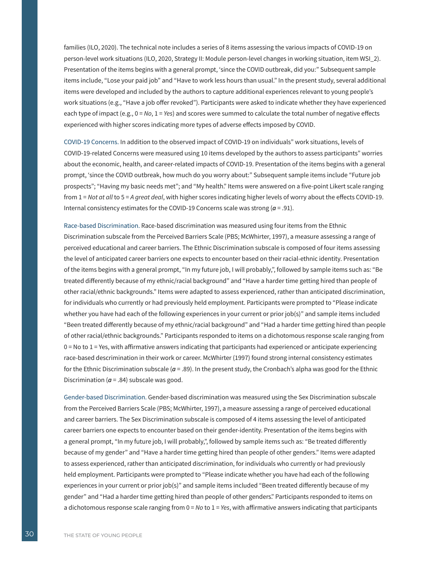families (ILO, 2020). The technical note includes a series of 8 items assessing the various impacts of COVID-19 on person-level work situations (ILO, 2020, Strategy II: Module person-level changes in working situation, item WSI\_2). Presentation of the items begins with a general prompt, 'since the COVID outbreak, did you:" Subsequent sample items include, "Lose your paid job" and "Have to work less hours than usual." In the present study, several additional items were developed and included by the authors to capture additional experiences relevant to young people's work situations (e.g., "Have a job offer revoked"). Participants were asked to indicate whether they have experienced each type of impact (e.g., 0 = No, 1 = Yes) and scores were summed to calculate the total number of negative effects experienced with higher scores indicating more types of adverse effects imposed by COVID.

COVID-19 Concerns. In addition to the observed impact of COVID-19 on individuals" work situations, levels of COVID-19-related Concerns were measured using 10 items developed by the authors to assess participants" worries about the economic, health, and career-related impacts of COVID-19. Presentation of the items begins with a general prompt, 'since the COVID outbreak, how much do you worry about:" Subsequent sample items include "Future job prospects"; "Having my basic needs met"; and "My health." Items were answered on a five-point Likert scale ranging from 1 = *Not at all* to 5 = *A great deal*, with higher scores indicating higher levels of worry about the effects COVID-19. Internal consistency estimates for the COVID-19 Concerns scale was strong (*a* = .91).

Race-based Discrimination. Race-based discrimination was measured using four items from the Ethnic Discrimination subscale from the Perceived Barriers Scale (PBS; McWhirter, 1997), a measure assessing a range of perceived educational and career barriers. The Ethnic Discrimination subscale is composed of four items assessing the level of anticipated career barriers one expects to encounter based on their racial-ethnic identity. Presentation of the items begins with a general prompt, "In my future job, I will probably,", followed by sample items such as: "Be treated differently because of my ethnic/racial background" and "Have a harder time getting hired than people of other racial/ethnic backgrounds." Items were adapted to assess experienced, rather than anticipated discrimination, for individuals who currently or had previously held employment. Participants were prompted to "Please indicate whether you have had each of the following experiences in your current or prior job(s)" and sample items included "Been treated differently because of my ethnic/racial background" and "Had a harder time getting hired than people of other racial/ethnic backgrounds." Participants responded to items on a dichotomous response scale ranging from 0 = No to 1 = Yes, with affirmative answers indicating that participants had experienced or anticipate experiencing race-based descrimination in their work or career. McWhirter (1997) found strong internal consistency estimates for the Ethnic Discrimination subscale  $(a = .89)$ . In the present study, the Cronbach's alpha was good for the Ethnic Discrimination ( $a = .84$ ) subscale was good.

Gender-based Discrimination. Gender-based discrimination was measured using the Sex Discrimination subscale from the Perceived Barriers Scale (PBS; McWhirter, 1997), a measure assessing a range of perceived educational and career barriers. The Sex Discrimination subscale is composed of 4 items assessing the level of anticipated career barriers one expects to encounter based on their gender-identity. Presentation of the items begins with a general prompt, "In my future job, I will probably,", followed by sample items such as: "Be treated differently because of my gender" and "Have a harder time getting hired than people of other genders." Items were adapted to assess experienced, rather than anticipated discrimination, for individuals who currently or had previously held employment. Participants were prompted to "Please indicate whether you have had each of the following experiences in your current or prior job(s)" and sample items included "Been treated differently because of my gender" and "Had a harder time getting hired than people of other genders." Participants responded to items on a dichotomous response scale ranging from 0 = *No* to 1 = *Yes*, with affirmative answers indicating that participants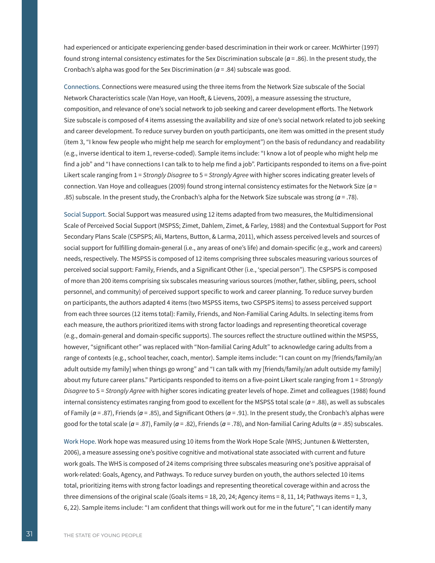had experienced or anticipate experiencing gender-based descrimination in their work or career. McWhirter (1997) found strong internal consistency estimates for the Sex Discrimination subscale (*a* = .86). In the present study, the Cronbach's alpha was good for the Sex Discrimination ( $a = .84$ ) subscale was good.

Connections. Connections were measured using the three items from the Network Size subscale of the Social Network Characteristics scale (Van Hoye, van Hooft, & Lievens, 2009), a measure assessing the structure, composition, and relevance of one's social network to job seeking and career development efforts. The Network Size subscale is composed of 4 items assessing the availability and size of one's social network related to job seeking and career development. To reduce survey burden on youth participants, one item was omitted in the present study (item 3, "I know few people who might help me search for employment") on the basis of redundancy and readability (e.g., inverse identical to item 1, reverse-coded). Sample items include: "I know a lot of people who might help me find a job" and "I have connections I can talk to to help me find a job". Participants responded to items on a five-point Likert scale ranging from 1 = *Strongly Disagree* to 5 = *Strongly Agree* with higher scores indicating greater levels of connection. Van Hoye and colleagues (2009) found strong internal consistency estimates for the Network Size (*a* = .85) subscale. In the present study, the Cronbach's alpha for the Network Size subscale was strong (*a* = .78).

Social Support. Social Support was measured using 12 items adapted from two measures, the Multidimensional Scale of Perceived Social Support (MSPSS; Zimet, Dahlem, Zimet, & Farley, 1988) and the Contextual Support for Post Secondary Plans Scale (CSPSPS; Ali, Martens, Button, & Larma, 2011), which assess perceived levels and sources of social support for fulfilling domain-general (i.e., any areas of one's life) and domain-specific (e.g., work and careers) needs, respectively. The MSPSS is composed of 12 items comprising three subscales measuring various sources of perceived social support: Family, Friends, and a Significant Other (i.e., 'special person"). The CSPSPS is composed of more than 200 items comprising six subscales measuring various sources (mother, father, sibling, peers, school personnel, and community) of perceived support specific to work and career planning. To reduce survey burden on participants, the authors adapted 4 items (two MSPSS items, two CSPSPS items) to assess perceived support from each three sources (12 items total): Family, Friends, and Non-Familial Caring Adults. In selecting items from each measure, the authors prioritized items with strong factor loadings and representing theoretical coverage (e.g., domain-general and domain-specific supports). The sources reflect the structure outlined within the MSPSS, however, "significant other" was replaced with "Non-familial Caring Adult" to acknowledge caring adults from a range of contexts (e.g., school teacher, coach, mentor). Sample items include: "I can count on my [friends/family/an adult outside my family] when things go wrong" and "I can talk with my [friends/family/an adult outside my family] about my future career plans." Participants responded to items on a five-point Likert scale ranging from 1 = *Strongly Disagree* to 5 = *Strongly Agree* with higher scores indicating greater levels of hope. Zimet and colleagues (1988) found internal consistency estimates ranging from good to excellent for the MSPSS total scale ( $a = .88$ ), as well as subscales of Family (*a* = .87), Friends (*a* = .85), and Significant Others (*a* = .91). In the present study, the Cronbach's alphas were good for the total scale ( $a = .87$ ), Family ( $a = .82$ ), Friends ( $a = .78$ ), and Non-familial Caring Adults ( $a = .85$ ) subscales.

Work Hope. Work hope was measured using 10 items from the Work Hope Scale (WHS; Juntunen & Wettersten, 2006), a measure assessing one's positive cognitive and motivational state associated with current and future work goals. The WHS is composed of 24 items comprising three subscales measuring one's positive appraisal of work-related: Goals, Agency, and Pathways. To reduce survey burden on youth, the authors selected 10 items total, prioritizing items with strong factor loadings and representing theoretical coverage within and across the three dimensions of the original scale (Goals items = 18, 20, 24; Agency items = 8, 11, 14; Pathways items = 1, 3, 6, 22). Sample items include: "I am confident that things will work out for me in the future", "I can identify many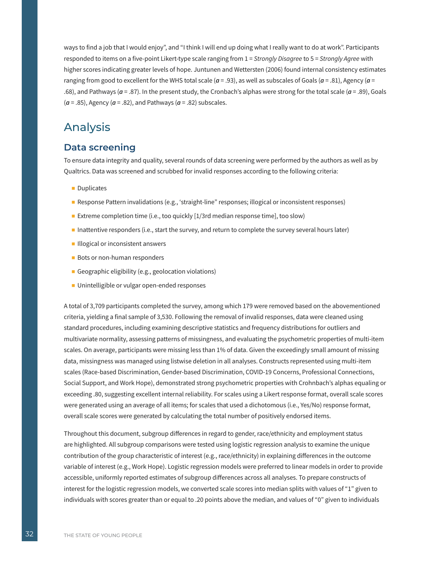ways to find a job that I would enjoy", and "I think I will end up doing what I really want to do at work". Participants responded to items on a five-point Likert-type scale ranging from 1 = *Strongly Disagree* to 5 = *Strongly Agree* with higher scores indicating greater levels of hope. Juntunen and Wettersten (2006) found internal consistency estimates ranging from good to excellent for the WHS total scale (*a* = .93), as well as subscales of Goals (*a* = .81), Agency (*a* = .68), and Pathways (*a* = .87). In the present study, the Cronbach's alphas were strong for the total scale (*a* = .89), Goals (*a* = .85), Agency (*a* = .82), and Pathways (*a* = .82) subscales.

# Analysis

### **Data screening**

To ensure data integrity and quality, several rounds of data screening were performed by the authors as well as by Qualtrics. Data was screened and scrubbed for invalid responses according to the following criteria:

- Duplicates
- Response Pattern invalidations (e.g., 'straight-line" responses; illogical or inconsistent responses)
- Extreme completion time (i.e., too quickly [1/3rd median response time], too slow)
- Inattentive responders (i.e., start the survey, and return to complete the survey several hours later)
- Illogical or inconsistent answers
- Bots or non-human responders
- Geographic eligibility (e.g., geolocation violations)
- Unintelligible or vulgar open-ended responses

A total of 3,709 participants completed the survey, among which 179 were removed based on the abovementioned criteria, yielding a final sample of 3,530. Following the removal of invalid responses, data were cleaned using standard procedures, including examining descriptive statistics and frequency distributions for outliers and multivariate normality, assessing patterns of missingness, and evaluating the psychometric properties of multi-item scales. On average, participants were missing less than 1% of data. Given the exceedingly small amount of missing data, missingness was managed using listwise deletion in all analyses. Constructs represented using multi-item scales (Race-based Discrimination, Gender-based Discrimination, COVID-19 Concerns, Professional Connections, Social Support, and Work Hope), demonstrated strong psychometric properties with Crohnbach's alphas equaling or exceeding .80, suggesting excellent internal reliability. For scales using a Likert response format, overall scale scores were generated using an average of all items; for scales that used a dichotomous (i.e., Yes/No) response format, overall scale scores were generated by calculating the total number of positively endorsed items.

Throughout this document, subgroup differences in regard to gender, race/ethnicity and employment status are highlighted. All subgroup comparisons were tested using logistic regression analysis to examine the unique contribution of the group characteristic of interest (e.g., race/ethnicity) in explaining differences in the outcome variable of interest (e.g., Work Hope). Logistic regression models were preferred to linear models in order to provide accessible, uniformly reported estimates of subgroup differences across all analyses. To prepare constructs of interest for the logistic regression models, we converted scale scores into median splits with values of "1" given to individuals with scores greater than or equal to .20 points above the median, and values of "0" given to individuals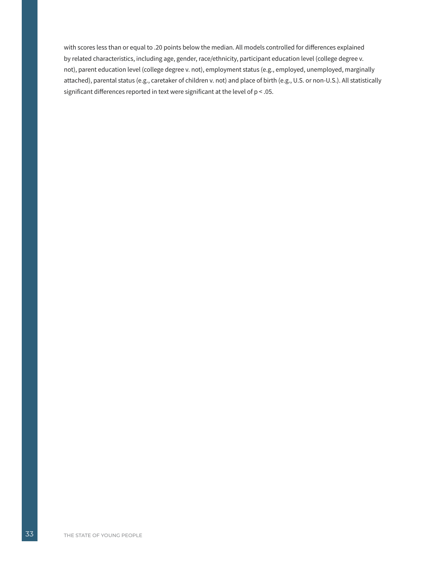with scores less than or equal to .20 points below the median. All models controlled for differences explained by related characteristics, including age, gender, race/ethnicity, participant education level (college degree v. not), parent education level (college degree v. not), employment status (e.g., employed, unemployed, marginally attached), parental status (e.g., caretaker of children v. not) and place of birth (e.g., U.S. or non-U.S.). All statistically significant differences reported in text were significant at the level of p < .05.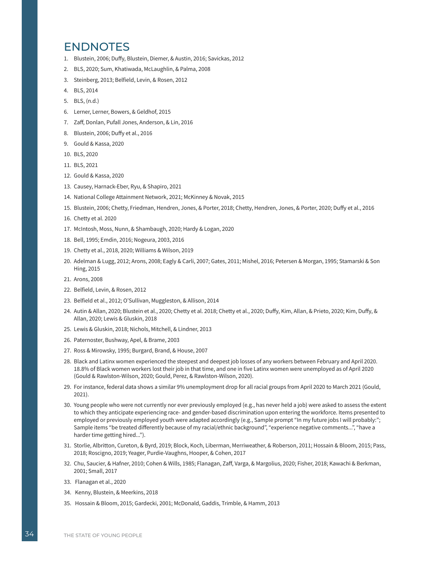# <span id="page-36-0"></span>ENDNOTES

- 1. Blustein, 2006; Duffy, Blustein, Diemer, & Austin, 2016; Savickas, 2012
- 2. BLS, 2020; Sum, Khatiwada, McLaughlin, & Palma, 2008
- 3. Steinberg, 2013; Belfield, Levin, & Rosen, 2012
- 4. BLS, 2014
- 5. BLS, (n.d.)
- 6. Lerner, Lerner, Bowers, & Geldhof, 2015
- 7. Zaff, Donlan, Pufall Jones, Anderson, & Lin, 2016
- 8. Blustein, 2006; Duffy et al., 2016
- 9. Gould & Kassa, 2020
- 10. BLS, 2020
- 11. BLS, 2021
- 12. Gould & Kassa, 2020
- 13. Causey, Harnack-Eber, Ryu, & Shapiro, 2021
- 14. National College Attainment Network, 2021; McKinney & Novak, 2015
- 15. Blustein, 2006; Chetty, Friedman, Hendren, Jones, & Porter, 2018; Chetty, Hendren, Jones, & Porter, 2020; Duffy et al., 2016
- 16. Chetty et al. 2020
- 17. McIntosh, Moss, Nunn, & Shambaugh, 2020; Hardy & Logan, 2020
- 18. Bell, 1995; Emdin, 2016; Nogeura, 2003, 2016
- 19. Chetty et al., 2018, 2020; Williams & Wilson, 2019
- 20. Adelman & Lugg, 2012; [Arons, 2008; Eagly & Carli, 2007; Gates, 2011; Mishel, 2016; Petersen & Morgan, 1995; S](https://cdn.americanprogress.org/wp-content/uploads/issues/2008/pdf/equal_pay.pdf)tamarski & Son Hing, 2015
- 21. [Arons, 2008](https://cdn.americanprogress.org/wp-content/uploads/issues/2008/pdf/equal_pay.pdf)
- 22. Belfield, Levin, & Rosen, 2012
- 23. Belfield et al., 2012; O'Sullivan, Muggleston, & Allison, 2014
- 24. Autin & Allan, 2020; Blustein et al., 2020; Chetty et al. 2018; Chetty et al., 2020; Duffy, Kim, Allan, & Prieto, 2020; Kim, Duffy, & Allan, 2020; Lewis & Gluskin, 2018
- 25. Lewis & Gluskin, 2018; Nichols, Mitchell, & Lindner, 2013
- 26. Paternoster, Bushway, Apel, & Brame, 2003
- 27. Ross & Mirowsky, 1995; Burgard, Brand, & House, 2007
- 28. Black and Latinx women experienced the steepest and deepest job losses of any workers between February and April 2020. 18.8% of Black women workers lost their job in that time, and one in five Latinx women were unemployed as of April 2020 (Gould & Rawlston-Wilson, 2020; Gould, Perez, & Rawlston-Wilson, 2020).
- 29. For instance, federal data shows a similar 9% unemployment drop for all racial groups from April 2020 to March 2021 (Gould, 2021).
- 30. Young people who were not currently nor ever previously employed (e.g., has never held a job) were asked to assess the extent to which they anticipate experiencing race- and gender-based discrimination upon entering the workforce. Items presented to employed or previously employed youth were adapted accordingly (e.g., Sample prompt "In my future jobs I will probably:"; Sample items "be treated differently because of my racial/ethnic background", "experience negative comments...", "have a harder time getting hired...").
- 31. Storlie, Albritton, Cureton, & Byrd, 2019; Block, Koch, Liberman, Merriweather, & Roberson, 2011; Hossain & Bloom, 2015; Pass, 2018; Roscigno, 2019; Yeager, Purdie-Vaughns, Hooper, & Cohen, 2017
- 32. Chu, Saucier, & Hafner, 2010; Cohen & Wills, 1985; Flanagan, Zaff, Varga, & Margolius, 2020; Fisher, 2018; Kawachi & Berkman, 2001; Small, 2017
- 33. Flanagan et al., 2020
- 34. Kenny, Blustein, & Meerkins, 2018
- 35. Hossain & Bloom, 2015; Gardecki, 2001; McDonald, Gaddis, Trimble, & Hamm, 2013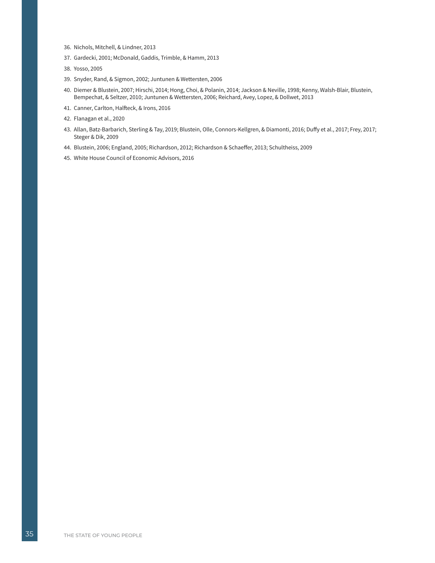- 36. Nichols, Mitchell, & Lindner, 2013
- 37. Gardecki, 2001; McDonald, Gaddis, Trimble, & Hamm, 2013
- 38. Yosso, 2005
- 39. Snyder, Rand, & Sigmon, 2002; Juntunen & Wettersten, 2006
- 40. Diemer & Blustein, 2007; Hirschi, 2014; Hong, Choi, & Polanin, 2014; Jackson & Neville, 1998; Kenny, Walsh-Blair, Blustein, Bempechat, & Seltzer, 2010; Juntunen & Wettersten, 2006; Reichard, Avey, Lopez, & Dollwet, 2013
- 41. Canner, Carlton, Halfteck, & Irons, 2016
- 42. Flanagan et al., 2020
- 43. Allan, Batz-Barbarich, Sterling & Tay, 2019; Blustein, Olle, Connors-Kellgren, & Diamonti, 2016; Duffy et al., 2017; Frey, 2017; Steger & Dik, 2009
- 44. Blustein, 2006; England, 2005; Richardson, 2012; Richardson & Schaeffer, 2013; Schultheiss, 2009
- 45. White House Council of Economic Advisors, 2016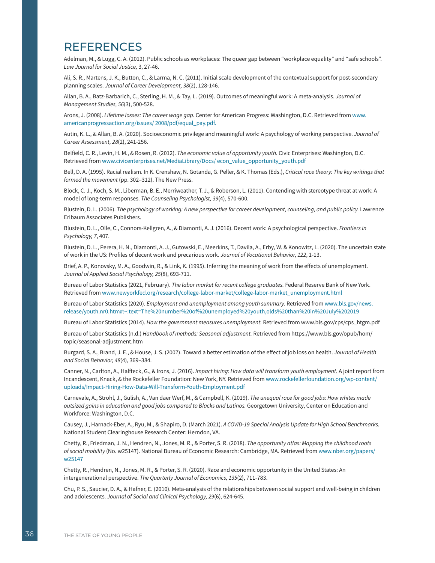# <span id="page-38-0"></span>**REFERENCES**

Adelman, M., & Lugg, C. A. (2012). Public schools as workplaces: The queer gap between "workplace equality" and "safe schools". *Law Journal for Social Justice,* 3, 27-46.

Ali, S. R., Martens, J. K., Button, C., & Larma, N. C. (2011). Initial scale development of the contextual support for post-secondary planning scales. *Journal of Career Development, 38*(2), 128-146.

Allan, B. A., Batz-Barbarich, C., Sterling, H. M., & Tay, L. (2019). Outcomes of meaningful work: A meta-analysis. *Journal of Management Studies, 56*(3), 500-528.

Arons, J. (2008). *Lifetime losses: The career wage gap.* Center for American Progress: Washington, D.C. Retrieved from [www.](http://www.americanprogressaction.org/issues/ 2008/pdf/equal_pay.pdf. ) [americanprogressaction.org/issues/ 2008/pdf/equal\\_pay.pdf.](http://www.americanprogressaction.org/issues/ 2008/pdf/equal_pay.pdf. ) 

Autin, K. L., & Allan, B. A. (2020). Socioeconomic privilege and meaningful work: A psychology of working perspective. *Journal of Career Assessment, 28*(2), 241-256.

Belfield, C. R., Levin, H. M., & Rosen, R. (2012). *The economic value of opportunity youth.* Civic Enterprises: Washington, D.C. Retrieved from [www.civicenterprises.net/MediaLibrary/Docs/ econ\\_value\\_opportunity\\_youth.pdf](http://www.civicenterprises.net/MediaLibrary/Docs/%20econ_value_opportunity_youth.pdf)

Bell, D. A. (1995). Racial realism. In K. Crenshaw, N. Gotanda, G. Peller, & K. Thomas (Eds.), *Critical race theory: The key writings that formed the movement* (pp. 302–312). The New Press.

Block, C. J., Koch, S. M., Liberman, B. E., Merriweather, T. J., & Roberson, L. (2011). Contending with stereotype threat at work: A model of long-term responses. *The Counseling Psychologist, 39*(4), 570-600.

Blustein, D. L. (2006). *The psychology of working: A new perspective for career development, counseling, and public policy.* Lawrence Erlbaum Associates Publishers.

Blustein, D. L., Olle, C., Connors-Kellgren, A., & Diamonti, A. J. (2016). Decent work: A psychological perspective. *Frontiers in Psychology, 7*, 407.

Blustein, D. L., Perera, H. N., Diamonti, A. J., Gutowski, E., Meerkins, T., Davila, A., Erby, W. & Konowitz, L. (2020). The uncertain state of work in the US: Profiles of decent work and precarious work. *Journal of Vocational Behavior, 122*, 1-13.

Brief, A. P., Konovsky, M. A., Goodwin, R., & Link, K. (1995). Inferring the meaning of work from the effects of unemployment. *Journal of Applied Social Psychology, 25*(8), 693-711.

Bureau of Labor Statistics (2021, February). *The labor market for recent college graduates.* Federal Reserve Bank of New York. Retrieved from [www.newyorkfed.org/research/college-labor-market/college-labor-market\\_unemployment.html](https://www.newyorkfed.org/research/college-labor-market/college-labor-market_unemployment.html)

Bureau of Labor Statistics (2020). *Employment and unemployment among youth summary.* Retrieved from www.bls.gov/news. release/youth.nr0.htm#:~:text=The%20number%20of%20unemployed%20youth,olds%20than%20in%20July%202019

Bureau of Labor Statistics (2014). *How the government measures unemployment.* Retrieved from [www.bls.gov/cps/cps\\_htgm.pdf](https://www.bls.gov/cps/cps_htgm.pdf)

Bureau of Labor Statistics (n.d.) *Handbook of methods: Seasonal adjustment.* Retrieved from https://www.bls.gov/opub/hom/ topic/seasonal-adjustment.htm

Burgard, S. A., Brand, J. E., & House, J. S. (2007). Toward a better estimation of the effect of job loss on health. *Journal of Health and Social Behavior, 48*(4), 369–384.

Canner, N., Carlton, A., Halfteck, G., & Irons, J. (2016). *Impact hiring: How data will transform youth employment.* A joint report from Incandescent, Knack, & the Rockefeller Foundation: New York, NY. Retrieved from [www.rockefellerfoundation.org/wp-content/](https://www.rockefellerfoundation.org/wp-content/uploads/Impact-Hiring-How-Data-Will-Transform-Youth-Employment.pdf) [uploads/Impact-Hiring-How-Data-Will-Transform-Youth-Employment.pdf](https://www.rockefellerfoundation.org/wp-content/uploads/Impact-Hiring-How-Data-Will-Transform-Youth-Employment.pdf)

Carnevale, A., Strohl, J., Gulish, A., Van daer Werf, M., & Campbell, K. (2019). *The unequal race for good jobs: How whites made outsized gains in education and good jobs compared to Blacks and Latinos.* Georgetown University, Center on Education and Workforce: Washington, D.C.

Causey, J., Harnack-Eber, A., Ryu, M., & Shapiro, D. (March 2021). *A COVID-19 Special Analysis Update for High School Benchmarks.* National Student Clearinghouse Research Center: Herndon, VA.

Chetty, R., Friedman, J. N., Hendren, N., Jones, M. R., & Porter, S. R. (2018). *The opportunity atlas: Mapping the childhood roots of social mobility* (No. w25147). National Bureau of Economic Research: Cambridge, MA. Retrieved from [www.nber.org/papers/](https://www.nber.org/papers/w25147) [w25147](https://www.nber.org/papers/w25147)

Chetty, R., Hendren, N., Jones, M. R., & Porter, S. R. (2020). Race and economic opportunity in the United States: An intergenerational perspective. *The Quarterly Journal of Economics, 135*(2), 711-783.

Chu, P. S., Saucier, D. A., & Hafner, E. (2010). Meta-analysis of the relationships between social support and well-being in children and adolescents. *Journal of Social and Clinical Psychology, 29*(6), 624-645.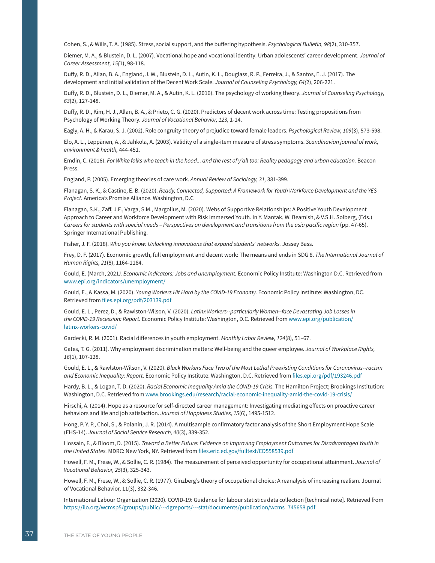Cohen, S., & Wills, T. A. (1985). Stress, social support, and the buffering hypothesis. *Psychological Bulletin, 98*(2), 310-357.

Diemer, M. A., & Blustein, D. L. (2007). Vocational hope and vocational identity: Urban adolescents' career development. *Journal of Career Assessment, 15(*1), 98-118.

Duffy, R. D., Allan, B. A., England, J. W., Blustein, D. L., Autin, K. L., Douglass, R. P., Ferreira, J., & Santos, E. J. (2017). The development and initial validation of the Decent Work Scale. *Journal of Counseling Psychology, 64(*2), 206-221.

Duffy, R. D., Blustein, D. L., Diemer, M. A., & Autin, K. L. (2016). The psychology of working theory. *Journal of Counseling Psychology, 63*(2), 127-148.

Duffy, R. D., Kim, H. J., Allan, B. A., & Prieto, C. G. (2020). Predictors of decent work across time: Testing propositions from Psychology of Working Theory. *Journal of Vocational Behavior, 123,* 1-14.

Eagly, A. H., & Karau, S. J. (2002). Role congruity theory of prejudice toward female leaders. *Psychological Review, 109*(3), 573-598.

Elo, A. L., Leppänen, A., & Jahkola, A. (2003). Validity of a single-item measure of stress symptoms. *Scandinavian journal of work, environment & health,* 444-451.

Emdin, C. (2016). *For White folks who teach in the hood... and the rest of y'all too: Reality pedagogy and urban education.* Beacon Press.

England, P. (2005). Emerging theories of care work. *Annual Review of Sociology, 31,* 381-399.

Flanagan, S. K., & Castine, E. B. (2020). *Ready, Connected, Supported: A Framework for Youth Workforce Development and the YES Project.* America's Promise Alliance. Washington, D.C

Flanagan, S.K., Zaff, J.F., Varga, S.M., Margolius, M. (2020). Webs of Supportive Relationships: A Positive Youth Development Approach to Career and Workforce Development with Risk Immersed Youth. In Y. Mantak, W. Beamish, & V.S.H. Solberg, (Eds.) *Careers for students with special needs – Perspectives on development and transitions from the asia pacific region* (pp. 47-65). Springer International Publishing.

Fisher, J. F. (2018). *Who you know: Unlocking innovations that expand students' networks.* Jossey Bass.

Frey, D. F. (2017). Economic growth, full employment and decent work: The means and ends in SDG 8. *The International Journal of Human Rights, 21*(8), 1164-1184.

Gould, E. (March, 2021*). Economic indicators: Jobs and unemployment.* Economic Policy Institute: Washington D.C. Retrieved from [www.epi.org/indicators/unemployment/](https://www.epi.org/indicators/unemployment/)

Gould, E., & Kassa, M. (2020). *Young Workers Hit Hard by the COVID-19 Economy.* Economic Policy Institute: Washington, DC. Retrieved from [files.epi.org/pdf/203139.pdf](https://files.epi.org/pdf/203139.pdf)

Gould, E. L., Perez, D., & Rawlston-Wilson, V. (2020). *Latinx Workers--particularly Women--face Devastating Job Losses in the COVID-19 Recession: Report.* Economic Policy Institute: Washington, D.C. Retrieved from [www.epi.org/publication/](https://www.epi.org/publication/latinx-workers-covid/) [latinx-workers-covid/](https://www.epi.org/publication/latinx-workers-covid/)

Gardecki, R. M. (2001). Racial differences in youth employment. *Monthly Labor Review, 124*(8), 51–67.

Gates, T. G. (2011). Why employment discrimination matters: Well-being and the queer employee. *Journal of Workplace Rights, 16*(1), 107-128.

Gould, E. L., & Rawlston-Wilson, V. (2020). *Black Workers Face Two of the Most Lethal Preexisting Conditions for Coronavirus--racism and Economic Inequality: Report.* Economic Policy Institute: Washington, D.C. Retrieved from [files.epi.org/pdf/193246.pdf](https://files.epi.org/pdf/193246.pdf)

Hardy, B. L., & Logan, T. D. (2020). *Racial Economic Inequality Amid the COVID-19 Crisis.* The Hamilton Project; Brookings Institution: Washington, D.C. Retrieved from [www.brookings.edu/research/racial-economic-inequality-amid-the-covid-19-crisis/](https://www.brookings.edu/research/racial-economic-inequality-amid-the-covid-19-crisis/)

Hirschi, A. (2014). Hope as a resource for self-directed career management: Investigating mediating effects on proactive career behaviors and life and job satisfaction. *Journal of Happiness Studies, 15*(6), 1495-1512.

Hong, P. Y. P., Choi, S., & Polanin, J. R. (2014). A multisample confirmatory factor analysis of the Short Employment Hope Scale (EHS-14). *Journal of Social Service Research, 40*(3), 339-352.

Hossain, F., & Bloom, D. (2015). *Toward a Better Future: Evidence on Improving Employment Outcomes for Disadvantaged Youth in the United States.* MDRC: New York, NY. Retrieved from [files.eric.ed.gov/fulltext/ED558539.pdf](https://files.eric.ed.gov/fulltext/ED558539.pdf)

Howell, F. M., Frese, W., & Sollie, C. R. (1984). The measurement of perceived opportunity for occupational attainment. *Journal of Vocational Behavior, 25*(3), 325-343.

Howell, F. M., Frese, W., & Sollie, C. R. (1977). Ginzberg's theory of occupational choice: A reanalysis of increasing realism. Journal of Vocational Behavior, 11(3), 332-346.

International Labour Organization (2020). COVID-19: Guidance for labour statistics data collection [technical note]. Retrieved from [https://ilo.org/wcmsp5/groups/public/---dgreports/---stat/documents/publication/wcms\\_745658.pdf](https://ilo.org/wcmsp5/groups/public/---dgreports/---stat/documents/publication/wcms_745658.pdf)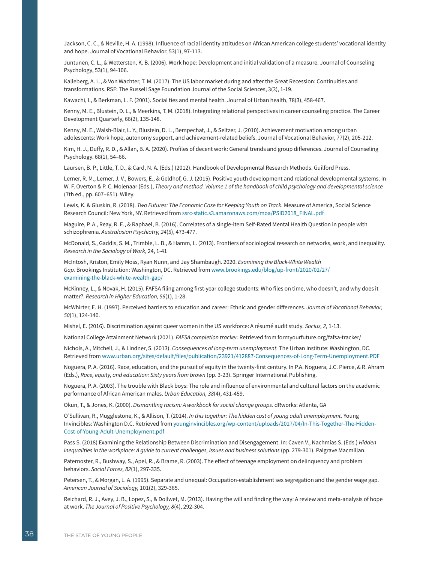Jackson, C. C., & Neville, H. A. (1998). Influence of racial identity attitudes on African American college students' vocational identity and hope. Journal of Vocational Behavior, 53(1), 97-113.

Juntunen, C. L., & Wettersten, K. B. (2006). Work hope: Development and initial validation of a measure. Journal of Counseling Psychology, 53(1), 94-106.

Kalleberg, A. L., & Von Wachter, T. M. (2017). The US labor market during and after the Great Recession: Continuities and transformations. RSF: The Russell Sage Foundation Journal of the Social Sciences, 3(3), 1-19.

Kawachi, I., & Berkman, L. F. (2001). Social ties and mental health. Journal of Urban health, 78(3), 458-467.

Kenny, M. E., Blustein, D. L., & Meerkins, T. M. (2018). Integrating relational perspectives in career counseling practice. The Career Development Quarterly, 66(2), 135-148.

Kenny, M. E., Walsh-Blair, L. Y., Blustein, D. L., Bempechat, J., & Seltzer, J. (2010). Achievement motivation among urban adolescents: Work hope, autonomy support, and achievement-related beliefs. Journal of Vocational Behavior, 77(2), 205-212.

Kim, H. J., Duffy, R. D., & Allan, B. A. (2020). Profiles of decent work: General trends and group differences. Journal of Counseling Psychology. 68(1), 54–66.

Laursen, B. P., Little, T. D., & Card, N. A. (Eds.) (2012). Handbook of Developmental Research Methods. Guilford Press.

Lerner, R. M., Lerner, J. V., Bowers, E., & Geldhof, G. J. (2015). Positive youth development and relational developmental systems. In W. F. Overton & P. C. Molenaar (Eds.), *Theory and method. Volume 1 of the handbook of child psychology and developmental science*  (7th ed., pp. 607–651). Wiley.

Lewis, K. & Gluskin, R. (2018). *Two Futures: The Economic Case for Keeping Youth on Track.* Measure of America, Social Science Research Council: New York, NY. Retrieved from [ssrc-static.s3.amazonaws.com/moa/PSID2018\\_FINAL.pdf](https://ssrc-static.s3.amazonaws.com/moa/PSID2018_FINAL.pdf) 

Maguire, P. A., Reay, R. E., & Raphael, B. (2016). Correlates of a single-item Self-Rated Mental Health Question in people with schizophrenia. *Australasian Psychiatry, 24*(5), 473-477.

McDonald, S., Gaddis, S. M., Trimble, L. B., & Hamm, L. (2013). Frontiers of sociological research on networks, work, and inequality. *Research in the Sociology of Work*, 24, 1-41

McIntosh, Kriston, Emily Moss, Ryan Nunn, and Jay Shambaugh. 2020. *Examining the Black-White Wealth Gap.* Brookings Institution: Washington, DC. Retrieved from [www.brookings.edu/blog/up-front/2020/02/27/](https://www.brookings.edu/blog/up-front/2020/02/27/examining-the-black-white-wealth-gap/) [examining-the-black-white-wealth-gap/](https://www.brookings.edu/blog/up-front/2020/02/27/examining-the-black-white-wealth-gap/)

McKinney, L., & Novak, H. (2015). FAFSA filing among first-year college students: Who files on time, who doesn't, and why does it matter?. *Research in Higher Education, 56*(1), 1-28.

McWhirter, E. H. (1997). Perceived barriers to education and career: Ethnic and gender differences. *Journal of Vocational Behavior, 50*(1), 124-140.

Mishel, E. (2016). Discrimination against queer women in the US workforce: A résumé audit study. *Socius, 2,* 1-13.

National College Attainment Network (2021). *FAFSA completion tracker.* Retrieved from [formyourfuture.org/fafsa-tracker/](https://formyourfuture.org/fafsa-tracker/)

Nichols, A., Mitchell, J., & Lindner, S. (2013). *Consequences of long-term unemployment.* The Urban Institute: Washington, DC. Retrieved from [www.urban.org/sites/default/files/publication/23921/412887-Consequences-of-Long-Term-Unemployment.PDF](https://www.urban.org/sites/default/files/publication/23921/412887-Consequences-of-Long-Term-Unemployment.PDF)

Noguera, P. A. (2016). Race, education, and the pursuit of equity in the twenty-first century. In P.A. Noguera, J.C. Pierce, & R. Ahram (Eds.), *Race, equity, and education: Sixty years from brown* (pp. 3-23). Springer International Publishing.

Noguera, P. A. (2003). The trouble with Black boys: The role and influence of environmental and cultural factors on the academic performance of African American males. *Urban Education, 38*(4), 431-459.

Okun, T., & Jones, K. (2000). *Dismantling racism: A workbook for social change groups.* dRworks: Atlanta, GA

O'Sullivan, R., Mugglestone, K., & Allison, T. (2014). *In this together: The hidden cost of young adult unemployment.* Young Invincibles: Washington D.C. Retrieved from [younginvincibles.org/wp-content/uploads/2017/04/In-This-Together-The-Hidden-](https://younginvincibles.org/wp-content/uploads/2017/04/In-This-Together-The-Hidden-Cost-of-Young-Adult-Unemployment.pdf)[Cost-of-Young-Adult-Unemployment.pdf](https://younginvincibles.org/wp-content/uploads/2017/04/In-This-Together-The-Hidden-Cost-of-Young-Adult-Unemployment.pdf)

Pass S. (2018) Examining the Relationship Between Discrimination and Disengagement. In: Caven V., Nachmias S. (Eds.) *Hidden*  inequalities in the workplace: A quide to current challenges, issues and business solutions (pp. 279-301). Palgrave Macmillan.

Paternoster, R., Bushway, S., Apel, R., & Brame, R. (2003). The effect of teenage employment on delinquency and problem behaviors. *Social Forces, 82*(1), 297-335.

Petersen, T., & Morgan, L. A. (1995). Separate and unequal: Occupation-establishment sex segregation and the gender wage gap. *American Journal of Sociology,* 101(2), 329-365.

Reichard, R. J., Avey, J. B., Lopez, S., & Dollwet, M. (2013). Having the will and finding the way: A review and meta-analysis of hope at work. *The Journal of Positive Psychology, 8*(4), 292-304.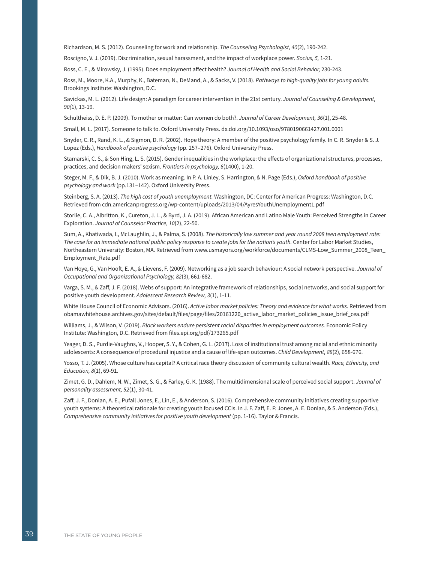Richardson, M. S. (2012). Counseling for work and relationship. *The Counseling Psychologist, 40*(2), 190-242.

Roscigno, V. J. (2019). Discrimination, sexual harassment, and the impact of workplace power. *Socius, 5,* 1-21.

Ross, C. E., & Mirowsky, J. (1995). Does employment affect health? *Journal of Health and Social Behavior,* 230-243.

Ross, M., Moore, K.A., Murphy, K., Bateman, N., DeMand, A., & Sacks, V. (2018). *Pathways to high-quality jobs for young adults.*  Brookings Institute: Washington, D.C.

Savickas, M. L. (2012). Life design: A paradigm for career intervention in the 21st century. *Journal of Counseling & Development, 90(*1), 13-19.

Schultheiss, D. E. P. (2009). To mother or matter: Can women do both?. *Journal of Career Development, 36*(1), 25-48.

Small, M. L. (2017). Someone to talk to. Oxford University Press. [dx.doi.org/10.1093/oso/9780190661427.001.0001](http://dx.doi.org/10.1093/oso/9780190661427.001.0001)

Snyder, C. R., Rand, K. L., & Sigmon, D. R. (2002). Hope theory: A member of the positive psychology family. In C. R. Snyder & S. J. Lopez (Eds.), *Handbook of positive psychology* (pp. 257–276). Oxford University Press.

Stamarski, C. S., & Son Hing, L. S. (2015). Gender inequalities in the workplace: the effects of organizational structures, processes, practices, and decision makers' sexism. *Frontiers in psychology, 6*(1400), 1-20.

Steger, M. F., & Dik, B. J. (2010). Work as meaning. In P. A. Linley, S. Harrington, & N. Page (Eds.), *Oxford handbook of positive psychology and work* (pp.131–142). Oxford University Press.

Steinberg, S. A. (2013). *The high cost of youth unemployment.* Washington, DC: Center for American Progress: Washington, D.C. Retrieved from [cdn.americanprogress.org/wp-content/uploads/2013/04/AyresYouthUnemployment1.pdf](https://cdn.americanprogress.org/wp-content/uploads/2013/04/AyresYouthUnemployment1.pdf)

Storlie, C. A., Albritton, K., Cureton, J. L., & Byrd, J. A. (2019). African American and Latino Male Youth: Perceived Strengths in Career Exploration. *Journal of Counselor Practice, 10*(2), 22-50.

Sum, A., Khatiwada, I., McLaughlin, J., & Palma, S. (2008). *The historically low summer and year round 2008 teen employment rate: The case for an immediate national public policy response to create jobs for the nation's youth.* Center for Labor Market Studies, Northeastern University: Boston, MA. Retrieved from [www.usmayors.org/workforce/documents/CLMS-Low\\_Summer\\_2008\\_Teen\\_](http://www.usmayors.org/workforce/documents/CLMS-Low_Summer_2008_Teen_Employment_Rate.pdf) [Employment\\_Rate.pdf](http://www.usmayors.org/workforce/documents/CLMS-Low_Summer_2008_Teen_Employment_Rate.pdf)

Van Hoye, G., Van Hooft, E. A., & Lievens, F. (2009). Networking as a job search behaviour: A social network perspective. *Journal of Occupational and Organizational Psychology, 82*(3), 661-682.

Varga, S. M., & Zaff, J. F. (2018). Webs of support: An integrative framework of relationships, social networks, and social support for positive youth development. *Adolescent Research Review, 3*(1), 1-11.

White House Council of Economic Advisors. (2016). *Active labor market policies: Theory and evidence for what works.* Retrieved from [obamawhitehouse.archives.gov/sites/default/files/page/files/20161220\\_active\\_labor\\_market\\_policies\\_issue\\_brief\\_cea.pdf](https://obamawhitehouse.archives.gov/sites/default/files/page/files/20161220_active_labor_market_policies_issue_brief_cea.pdf)

Williams, J., & Wilson, V. (2019). *Black workers endure persistent racial disparities in employment outcomes.* Economic Policy Institute: Washington, D.C. Retrieved from [files.epi.org/pdf/173265.pdf](https://files.epi.org/pdf/173265.pdf) 

Yeager, D. S., Purdie-Vaughns, V., Hooper, S. Y., & Cohen, G. L. (2017). Loss of institutional trust among racial and ethnic minority adolescents: A consequence of procedural injustice and a cause of life-span outcomes. *Child Development, 88*(2), 658-676.

Yosso, T. J. (2005). Whose culture has capital? A critical race theory discussion of community cultural wealth. *Race, Ethnicity, and Education, 8*(1), 69-91.

Zimet, G. D., Dahlem, N. W., Zimet, S. G., & Farley, G. K. (1988). The multidimensional scale of perceived social support. *Journal of personality assessment, 52*(1), 30-41.

Zaff, J. F., Donlan, A. E., Pufall Jones, E., Lin, E., & Anderson, S. (2016). Comprehensive community initiatives creating supportive youth systems: A theoretical rationale for creating youth focused CCIs. In J. F. Zaff, E. P. Jones, A. E. Donlan, & S. Anderson (Eds.), *Comprehensive community initiatives for positive youth development* (pp. 1-16). Taylor & Francis.